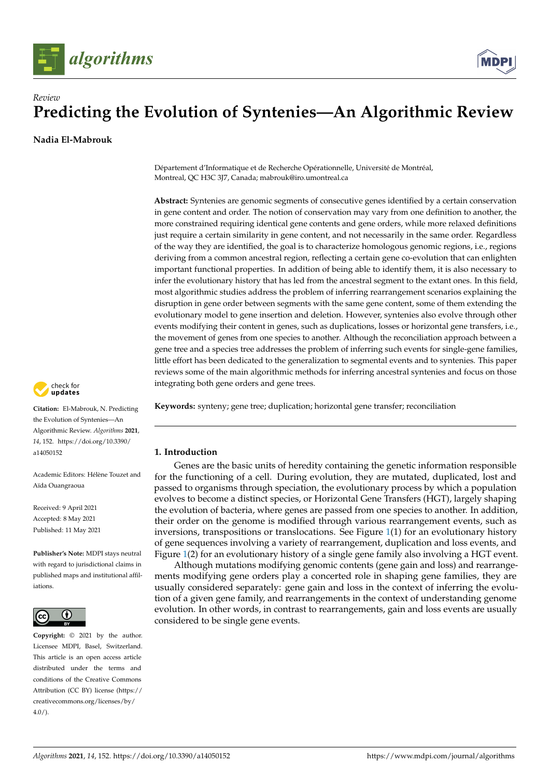



**Nadia El-Mabrouk**

Département d'Informatique et de Recherche Opérationnelle, Université de Montréal, Montreal, QC H3C 3J7, Canada; mabrouk@iro.umontreal.ca

**Abstract:** Syntenies are genomic segments of consecutive genes identified by a certain conservation in gene content and order. The notion of conservation may vary from one definition to another, the more constrained requiring identical gene contents and gene orders, while more relaxed definitions just require a certain similarity in gene content, and not necessarily in the same order. Regardless of the way they are identified, the goal is to characterize homologous genomic regions, i.e., regions deriving from a common ancestral region, reflecting a certain gene co-evolution that can enlighten important functional properties. In addition of being able to identify them, it is also necessary to infer the evolutionary history that has led from the ancestral segment to the extant ones. In this field, most algorithmic studies address the problem of inferring rearrangement scenarios explaining the disruption in gene order between segments with the same gene content, some of them extending the evolutionary model to gene insertion and deletion. However, syntenies also evolve through other events modifying their content in genes, such as duplications, losses or horizontal gene transfers, i.e., the movement of genes from one species to another. Although the reconciliation approach between a gene tree and a species tree addresses the problem of inferring such events for single-gene families, little effort has been dedicated to the generalization to segmental events and to syntenies. This paper reviews some of the main algorithmic methods for inferring ancestral syntenies and focus on those integrating both gene orders and gene trees.





**Citation:** El-Mabrouk, N. Predicting the Evolution of Syntenies—An Algorithmic Review. *Algorithms* **2021**, *14*, 152. [https://doi.org/10.3390/](https://doi.org/10.3390/a14050152) [a14050152](https://doi.org/10.3390/a14050152)

Academic Editors: Hélène Touzet and Aïda Ouangraoua

Received: 9 April 2021 Accepted: 8 May 2021 Published: 11 May 2021

**Publisher's Note:** MDPI stays neutral with regard to jurisdictional claims in published maps and institutional affiliations.



**Copyright:** © 2021 by the author. Licensee MDPI, Basel, Switzerland. This article is an open access article distributed under the terms and conditions of the Creative Commons Attribution (CC BY) license (https:/[/](https://creativecommons.org/licenses/by/4.0/) [creativecommons.org/licenses/by/](https://creativecommons.org/licenses/by/4.0/)  $4.0/$ ).

## **1. Introduction**

Genes are the basic units of heredity containing the genetic information responsible for the functioning of a cell. During evolution, they are mutated, duplicated, lost and passed to organisms through speciation, the evolutionary process by which a population evolves to become a distinct species, or Horizontal Gene Transfers (HGT), largely shaping the evolution of bacteria, where genes are passed from one species to another. In addition, their order on the genome is modified through various rearrangement events, such as inversions, transpositions or translocations. See Figure [1\(](#page-1-0)1) for an evolutionary history of gene sequences involving a variety of rearrangement, duplication and loss events, and Figure [1\(](#page-1-0)2) for an evolutionary history of a single gene family also involving a HGT event.

Although mutations modifying genomic contents (gene gain and loss) and rearrangements modifying gene orders play a concerted role in shaping gene families, they are usually considered separately: gene gain and loss in the context of inferring the evolution of a given gene family, and rearrangements in the context of understanding genome evolution. In other words, in contrast to rearrangements, gain and loss events are usually considered to be single gene events.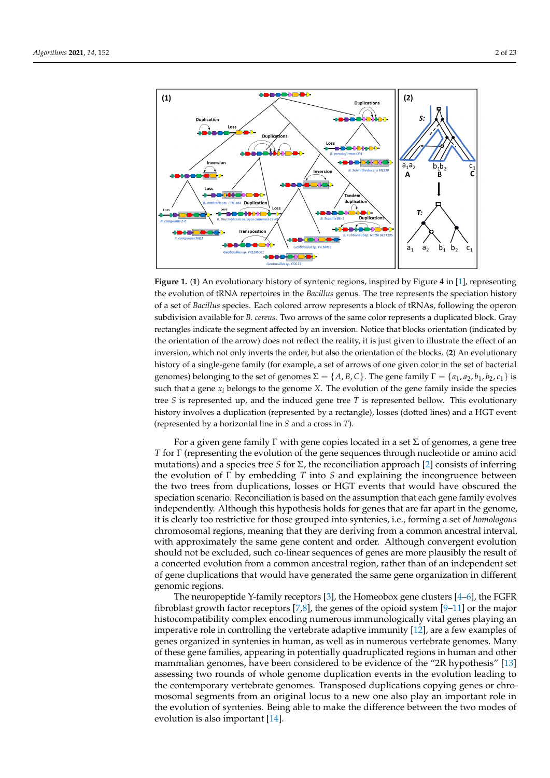<span id="page-1-0"></span>

**Figure 1.** (**1**) An evolutionary history of syntenic regions, inspired by Figure 4 in [\[1\]](#page-18-0), representing the evolution of tRNA repertoires in the *Bacillus* genus. The tree represents the speciation history of a set of *Bacillus* species. Each colored arrow represents a block of tRNAs, following the operon subdivision available for *B. cereus*. Two arrows of the same color represents a duplicated block. Gray rectangles indicate the segment affected by an inversion. Notice that blocks orientation (indicated by the orientation of the arrow) does not reflect the reality, it is just given to illustrate the effect of an inversion, which not only inverts the order, but also the orientation of the blocks. (**2**) An evolutionary history of a single-gene family (for example, a set of arrows of one given color in the set of bacterial genomes) belonging to the set of genomes  $\Sigma = \{A, B, C\}$ . The gene family  $\Gamma = \{a_1, a_2, b_1, b_2, c_1\}$  is such that a gene  $x_i$  belongs to the genome *X*. The evolution of the gene family inside the species tree *S* is represented up, and the induced gene tree *T* is represented bellow. This evolutionary history involves a duplication (represented by a rectangle), losses (dotted lines) and a HGT event (represented by a horizontal line in *S* and a cross in *T*).

For a given gene family  $\Gamma$  with gene copies located in a set  $\Sigma$  of genomes, a gene tree *T* for Γ (representing the evolution of the gene sequences through nucleotide or amino acid mutations) and a species tree *S* for Σ, the reconciliation approach [\[2\]](#page-18-1) consists of inferring the evolution of Γ by embedding *T* into *S* and explaining the incongruence between the two trees from duplications, losses or HGT events that would have obscured the speciation scenario. Reconciliation is based on the assumption that each gene family evolves independently. Although this hypothesis holds for genes that are far apart in the genome, it is clearly too restrictive for those grouped into syntenies, i.e., forming a set of *homologous* chromosomal regions, meaning that they are deriving from a common ancestral interval, with approximately the same gene content and order. Although convergent evolution should not be excluded, such co-linear sequences of genes are more plausibly the result of a concerted evolution from a common ancestral region, rather than of an independent set of gene duplications that would have generated the same gene organization in different genomic regions.

The neuropeptide Y-family receptors [\[3\]](#page-18-2), the Homeobox gene clusters [\[4](#page-18-3)[–6\]](#page-18-4), the FGFR fibroblast growth factor receptors [\[7,](#page-18-5)[8\]](#page-18-6), the genes of the opioid system [\[9](#page-18-7)[–11\]](#page-18-8) or the major histocompatibility complex encoding numerous immunologically vital genes playing an imperative role in controlling the vertebrate adaptive immunity [\[12\]](#page-18-9), are a few examples of genes organized in syntenies in human, as well as in numerous vertebrate genomes. Many of these gene families, appearing in potentially quadruplicated regions in human and other mammalian genomes, have been considered to be evidence of the "2R hypothesis" [\[13\]](#page-18-10) assessing two rounds of whole genome duplication events in the evolution leading to the contemporary vertebrate genomes. Transposed duplications copying genes or chromosomal segments from an original locus to a new one also play an important role in the evolution of syntenies. Being able to make the difference between the two modes of evolution is also important [\[14\]](#page-18-11).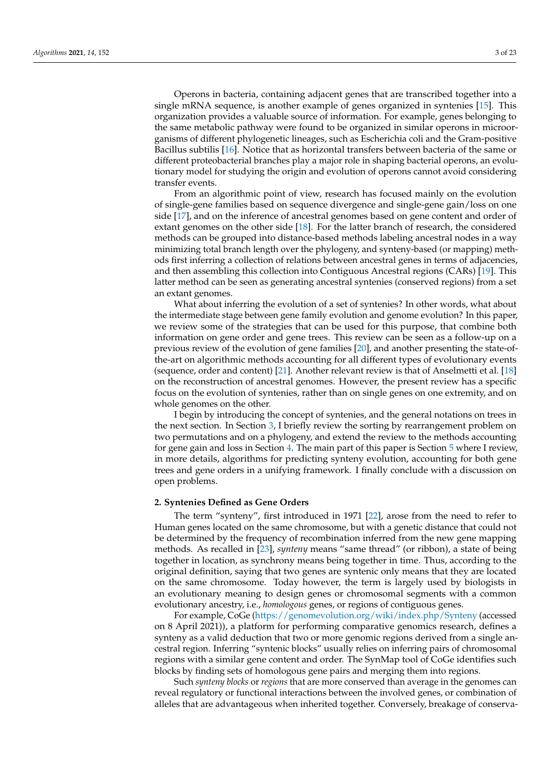Operons in bacteria, containing adjacent genes that are transcribed together into a single mRNA sequence, is another example of genes organized in syntenies [\[15\]](#page-18-12). This organization provides a valuable source of information. For example, genes belonging to the same metabolic pathway were found to be organized in similar operons in microorganisms of different phylogenetic lineages, such as Escherichia coli and the Gram-positive Bacillus subtilis [\[16\]](#page-18-13). Notice that as horizontal transfers between bacteria of the same or different proteobacterial branches play a major role in shaping bacterial operons, an evolutionary model for studying the origin and evolution of operons cannot avoid considering transfer events.

From an algorithmic point of view, research has focused mainly on the evolution of single-gene families based on sequence divergence and single-gene gain/loss on one side [\[17\]](#page-18-14), and on the inference of ancestral genomes based on gene content and order of extant genomes on the other side [\[18\]](#page-18-15). For the latter branch of research, the considered methods can be grouped into distance-based methods labeling ancestral nodes in a way minimizing total branch length over the phylogeny, and synteny-based (or mapping) methods first inferring a collection of relations between ancestral genes in terms of adjacencies, and then assembling this collection into Contiguous Ancestral regions (CARs) [\[19\]](#page-18-16). This latter method can be seen as generating ancestral syntenies (conserved regions) from a set an extant genomes.

What about inferring the evolution of a set of syntenies? In other words, what about the intermediate stage between gene family evolution and genome evolution? In this paper, we review some of the strategies that can be used for this purpose, that combine both information on gene order and gene trees. This review can be seen as a follow-up on a previous review of the evolution of gene families [\[20\]](#page-18-17), and another presenting the state-ofthe-art on algorithmic methods accounting for all different types of evolutionary events (sequence, order and content) [\[21\]](#page-18-18). Another relevant review is that of Anselmetti et al. [\[18\]](#page-18-15) on the reconstruction of ancestral genomes. However, the present review has a specific focus on the evolution of syntenies, rather than on single genes on one extremity, and on whole genomes on the other.

I begin by introducing the concept of syntenies, and the general notations on trees in the next section. In Section [3,](#page-4-0) I briefly review the sorting by rearrangement problem on two permutations and on a phylogeny, and extend the review to the methods accounting for gene gain and loss in Section [4.](#page-5-0) The main part of this paper is Section [5](#page-6-0) where I review, in more details, algorithms for predicting synteny evolution, accounting for both gene trees and gene orders in a unifying framework. I finally conclude with a discussion on open problems.

#### **2. Syntenies Defined as Gene Orders**

The term "synteny", first introduced in 1971 [\[22\]](#page-18-19), arose from the need to refer to Human genes located on the same chromosome, but with a genetic distance that could not be determined by the frequency of recombination inferred from the new gene mapping methods. As recalled in [\[23\]](#page-18-20), *synteny* means "same thread" (or ribbon), a state of being together in location, as synchrony means being together in time. Thus, according to the original definition, saying that two genes are syntenic only means that they are located on the same chromosome. Today however, the term is largely used by biologists in an evolutionary meaning to design genes or chromosomal segments with a common evolutionary ancestry, i.e., *homologous* genes, or regions of contiguous genes.

For example, CoGe [\(https://genomevolution.org/wiki/index.php/Synteny](https://genomevolution.org/wiki/index.php/Synteny) (accessed on 8 April 2021)), a platform for performing comparative genomics research, defines a synteny as a valid deduction that two or more genomic regions derived from a single ancestral region. Inferring "syntenic blocks" usually relies on inferring pairs of chromosomal regions with a similar gene content and order. The SynMap tool of CoGe identifies such blocks by finding sets of homologous gene pairs and merging them into regions.

Such *synteny blocks* or *regions* that are more conserved than average in the genomes can reveal regulatory or functional interactions between the involved genes, or combination of alleles that are advantageous when inherited together. Conversely, breakage of conserva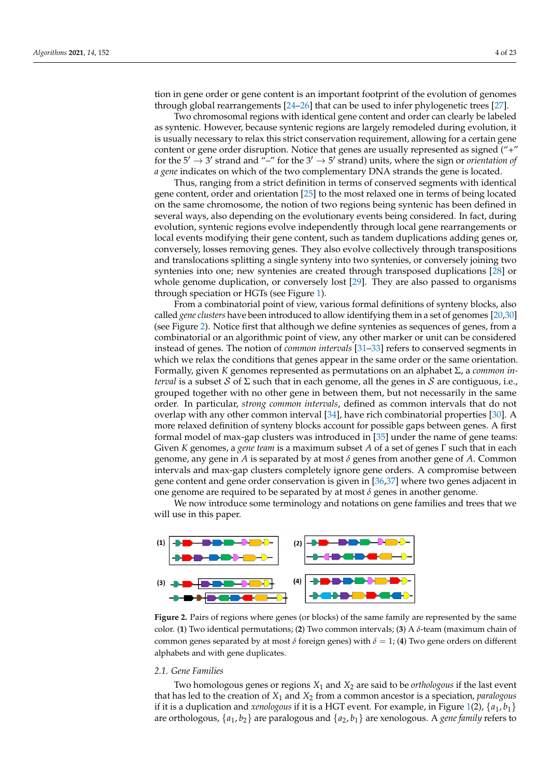tion in gene order or gene content is an important footprint of the evolution of genomes through global rearrangements [\[24](#page-18-21)[–26\]](#page-18-22) that can be used to infer phylogenetic trees [\[27\]](#page-18-23).

Two chromosomal regions with identical gene content and order can clearly be labeled as syntenic. However, because syntenic regions are largely remodeled during evolution, it is usually necessary to relax this strict conservation requirement, allowing for a certain gene content or gene order disruption. Notice that genes are usually represented as signed ("+" for the  $5' \rightarrow 3'$  strand and "-" for the  $3' \rightarrow 5'$  strand) units, where the sign or *orientation of a gene* indicates on which of the two complementary DNA strands the gene is located.

Thus, ranging from a strict definition in terms of conserved segments with identical gene content, order and orientation [\[25\]](#page-18-24) to the most relaxed one in terms of being located on the same chromosome, the notion of two regions being syntenic has been defined in several ways, also depending on the evolutionary events being considered. In fact, during evolution, syntenic regions evolve independently through local gene rearrangements or local events modifying their gene content, such as tandem duplications adding genes or, conversely, losses removing genes. They also evolve collectively through transpositions and translocations splitting a single synteny into two syntenies, or conversely joining two syntenies into one; new syntenies are created through transposed duplications [\[28\]](#page-18-25) or whole genome duplication, or conversely lost [\[29\]](#page-18-26). They are also passed to organisms through speciation or HGTs (see Figure [1\)](#page-1-0).

From a combinatorial point of view, various formal definitions of synteny blocks, also called *gene clusters* have been introduced to allow identifying them in a set of genomes [\[20,](#page-18-17)[30\]](#page-19-0) (see Figure [2\)](#page-3-0). Notice first that although we define syntenies as sequences of genes, from a combinatorial or an algorithmic point of view, any other marker or unit can be considered instead of genes. The notion of *common intervals* [\[31](#page-19-1)[–33\]](#page-19-2) refers to conserved segments in which we relax the conditions that genes appear in the same order or the same orientation. Formally, given *K* genomes represented as permutations on an alphabet Σ, a *common interval* is a subset S of  $\Sigma$  such that in each genome, all the genes in S are contiguous, i.e., grouped together with no other gene in between them, but not necessarily in the same order. In particular, *strong common intervals*, defined as common intervals that do not overlap with any other common interval [\[34\]](#page-19-3), have rich combinatorial properties [\[30\]](#page-19-0). A more relaxed definition of synteny blocks account for possible gaps between genes. A first formal model of max-gap clusters was introduced in [\[35\]](#page-19-4) under the name of gene teams: Given *K* genomes, a *gene team* is a maximum subset *A* of a set of genes Γ such that in each genome, any gene in *A* is separated by at most *δ* genes from another gene of *A*. Common intervals and max-gap clusters completely ignore gene orders. A compromise between gene content and gene order conservation is given in [\[36](#page-19-5)[,37\]](#page-19-6) where two genes adjacent in one genome are required to be separated by at most *δ* genes in another genome.

We now introduce some terminology and notations on gene families and trees that we will use in this paper.

<span id="page-3-0"></span>

**Figure 2.** Pairs of regions where genes (or blocks) of the same family are represented by the same color. (**1**) Two identical permutations; (**2**) Two common intervals; (**3**) A *δ*-team (maximum chain of common genes separated by at most  $\delta$  foreign genes) with  $\delta = 1$ ; (4) Two gene orders on different alphabets and with gene duplicates.

### *2.1. Gene Families*

Two homologous genes or regions *X*<sup>1</sup> and *X*<sup>2</sup> are said to be *orthologous* if the last event that has led to the creation of *X*<sup>1</sup> and *X*<sup>2</sup> from a common ancestor is a speciation, *paralogous* if it is a duplication and *xenologous* if it is a HGT event. For example, in Figure [1\(](#page-1-0)2),  $\{a_1, b_1\}$ are orthologous, {*a*1, *b*2} are paralogous and {*a*2, *b*1} are xenologous. A *gene family* refers to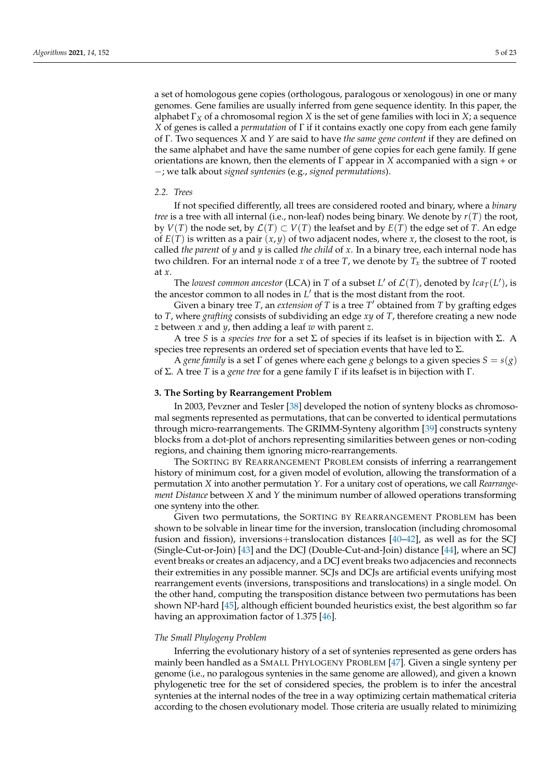a set of homologous gene copies (orthologous, paralogous or xenologous) in one or many genomes. Gene families are usually inferred from gene sequence identity. In this paper, the alphabet  $\Gamma_X$  of a chromosomal region *X* is the set of gene families with loci in *X*; a sequence *X* of genes is called a *permutation* of Γ if it contains exactly one copy from each gene family of Γ. Two sequences *X* and *Y* are said to have *the same gene content* if they are defined on the same alphabet and have the same number of gene copies for each gene family. If gene orientations are known, then the elements of  $\Gamma$  appear in *X* accompanied with a sign + or −; we talk about *signed syntenies* (e.g., *signed permutations*).

## *2.2. Trees*

If not specified differently, all trees are considered rooted and binary, where a *binary tree* is a tree with all internal (i.e., non-leaf) nodes being binary. We denote by *r*(*T*) the root, by  $V(T)$  the node set, by  $\mathcal{L}(T) \subset V(T)$  the leafset and by  $E(T)$  the edge set of T. An edge of  $E(T)$  is written as a pair  $(x, y)$  of two adjacent nodes, where x, the closest to the root, is called *the parent* of *y* and *y* is called *the child* of *x*. In a binary tree, each internal node has two children. For an internal node *x* of a tree *T*, we denote by *T<sup>x</sup>* the subtree of *T* rooted at *x*.

The *lowest common ancestor* (LCA) in *T* of a subset *L'* of  $\mathcal{L}(T)$ , denoted by *lca*<sub>*T*</sub>(*L'*), is the ancestor common to all nodes in  $L'$  that is the most distant from the root.

Given a binary tree *T*, an *extension of T* is a tree *T*<sup>'</sup> obtained from *T* by grafting edges to *T*, where *grafting* consists of subdividing an edge *xy* of *T*, therefore creating a new node *z* between *x* and *y*, then adding a leaf *w* with parent *z*.

A tree *S* is a *species tree* for a set Σ of species if its leafset is in bijection with Σ. A species tree represents an ordered set of speciation events that have led to  $\Sigma$ .

A *gene family* is a set  $\Gamma$  of genes where each gene *g* belongs to a given species  $S = s(g)$ of Σ. A tree *T* is a *gene tree* for a gene family Γ if its leafset is in bijection with Γ.

#### <span id="page-4-0"></span>**3. The Sorting by Rearrangement Problem**

In 2003, Pevzner and Tesler [\[38\]](#page-19-7) developed the notion of synteny blocks as chromosomal segments represented as permutations, that can be converted to identical permutations through micro-rearrangements. The GRIMM-Synteny algorithm [\[39\]](#page-19-8) constructs synteny blocks from a dot-plot of anchors representing similarities between genes or non-coding regions, and chaining them ignoring micro-rearrangements.

The SORTING BY REARRANGEMENT PROBLEM consists of inferring a rearrangement history of minimum cost, for a given model of evolution, allowing the transformation of a permutation *X* into another permutation *Y*. For a unitary cost of operations, we call *Rearrangement Distance* between *X* and *Y* the minimum number of allowed operations transforming one synteny into the other.

Given two permutations, the SORTING BY REARRANGEMENT PROBLEM has been shown to be solvable in linear time for the inversion, translocation (including chromosomal fusion and fission), inversions+translocation distances [\[40–](#page-19-9)[42\]](#page-19-10), as well as for the SCJ (Single-Cut-or-Join) [\[43\]](#page-19-11) and the DCJ (Double-Cut-and-Join) distance [\[44\]](#page-19-12), where an SCJ event breaks or creates an adjacency, and a DCJ event breaks two adjacencies and reconnects their extremities in any possible manner. SCJs and DCJs are artificial events unifying most rearrangement events (inversions, transpositions and translocations) in a single model. On the other hand, computing the transposition distance between two permutations has been shown NP-hard [\[45\]](#page-19-13), although efficient bounded heuristics exist, the best algorithm so far having an approximation factor of 1.375 [\[46\]](#page-19-14).

#### *The Small Phylogeny Problem*

Inferring the evolutionary history of a set of syntenies represented as gene orders has mainly been handled as a SMALL PHYLOGENY PROBLEM [\[47\]](#page-19-15). Given a single synteny per genome (i.e., no paralogous syntenies in the same genome are allowed), and given a known phylogenetic tree for the set of considered species, the problem is to infer the ancestral syntenies at the internal nodes of the tree in a way optimizing certain mathematical criteria according to the chosen evolutionary model. Those criteria are usually related to minimizing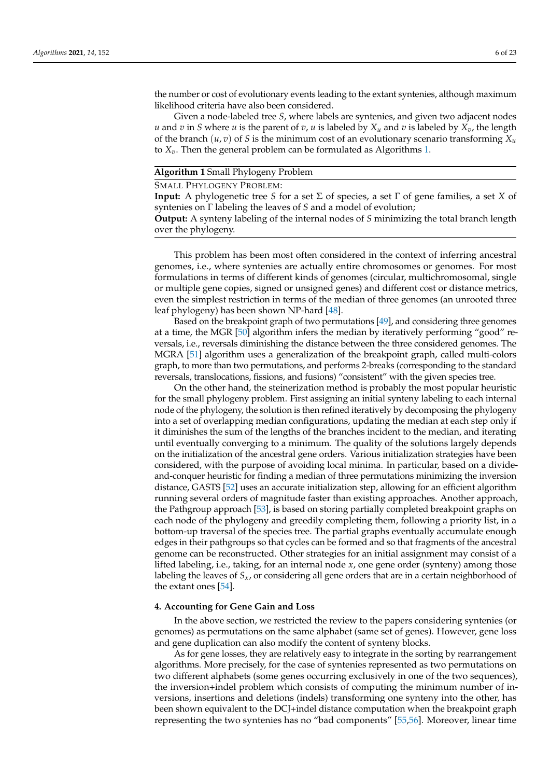the number or cost of evolutionary events leading to the extant syntenies, although maximum likelihood criteria have also been considered.

Given a node-labeled tree *S*, where labels are syntenies, and given two adjacent nodes *u* and *v* in *S* where *u* is the parent of *v*, *u* is labeled by  $X_u$  and *v* is labeled by  $X_v$ , the length of the branch  $(u, v)$  of *S* is the minimum cost of an evolutionary scenario transforming  $X_u$ to *Xv*. Then the general problem can be formulated as Algorithms [1.](#page-5-1)

#### <span id="page-5-1"></span>**Algorithm 1** Small Phylogeny Problem

SMALL PHYLOGENY PROBLEM:

**Input:** A phylogenetic tree *S* for a set Σ of species, a set Γ of gene families, a set *X* of syntenies on Γ labeling the leaves of *S* and a model of evolution;

**Output:** A synteny labeling of the internal nodes of *S* minimizing the total branch length over the phylogeny.

This problem has been most often considered in the context of inferring ancestral genomes, i.e., where syntenies are actually entire chromosomes or genomes. For most formulations in terms of different kinds of genomes (circular, multichromosomal, single or multiple gene copies, signed or unsigned genes) and different cost or distance metrics, even the simplest restriction in terms of the median of three genomes (an unrooted three leaf phylogeny) has been shown NP-hard [\[48\]](#page-19-16).

Based on the breakpoint graph of two permutations [\[49\]](#page-19-17), and considering three genomes at a time, the MGR [\[50\]](#page-19-18) algorithm infers the median by iteratively performing "good" reversals, i.e., reversals diminishing the distance between the three considered genomes. The MGRA [\[51\]](#page-19-19) algorithm uses a generalization of the breakpoint graph, called multi-colors graph, to more than two permutations, and performs 2-breaks (corresponding to the standard reversals, translocations, fissions, and fusions) "consistent" with the given species tree.

On the other hand, the steinerization method is probably the most popular heuristic for the small phylogeny problem. First assigning an initial synteny labeling to each internal node of the phylogeny, the solution is then refined iteratively by decomposing the phylogeny into a set of overlapping median configurations, updating the median at each step only if it diminishes the sum of the lengths of the branches incident to the median, and iterating until eventually converging to a minimum. The quality of the solutions largely depends on the initialization of the ancestral gene orders. Various initialization strategies have been considered, with the purpose of avoiding local minima. In particular, based on a divideand-conquer heuristic for finding a median of three permutations minimizing the inversion distance, GASTS [\[52\]](#page-19-20) uses an accurate initialization step, allowing for an efficient algorithm running several orders of magnitude faster than existing approaches. Another approach, the Pathgroup approach [\[53\]](#page-19-21), is based on storing partially completed breakpoint graphs on each node of the phylogeny and greedily completing them, following a priority list, in a bottom-up traversal of the species tree. The partial graphs eventually accumulate enough edges in their pathgroups so that cycles can be formed and so that fragments of the ancestral genome can be reconstructed. Other strategies for an initial assignment may consist of a lifted labeling, i.e., taking, for an internal node *x*, one gene order (synteny) among those labeling the leaves of *Sx*, or considering all gene orders that are in a certain neighborhood of the extant ones [\[54\]](#page-19-22).

## <span id="page-5-0"></span>**4. Accounting for Gene Gain and Loss**

In the above section, we restricted the review to the papers considering syntenies (or genomes) as permutations on the same alphabet (same set of genes). However, gene loss and gene duplication can also modify the content of synteny blocks.

As for gene losses, they are relatively easy to integrate in the sorting by rearrangement algorithms. More precisely, for the case of syntenies represented as two permutations on two different alphabets (some genes occurring exclusively in one of the two sequences), the inversion+indel problem which consists of computing the minimum number of inversions, insertions and deletions (indels) transforming one synteny into the other, has been shown equivalent to the DCJ+indel distance computation when the breakpoint graph representing the two syntenies has no "bad components" [\[55](#page-19-23)[,56\]](#page-19-24). Moreover, linear time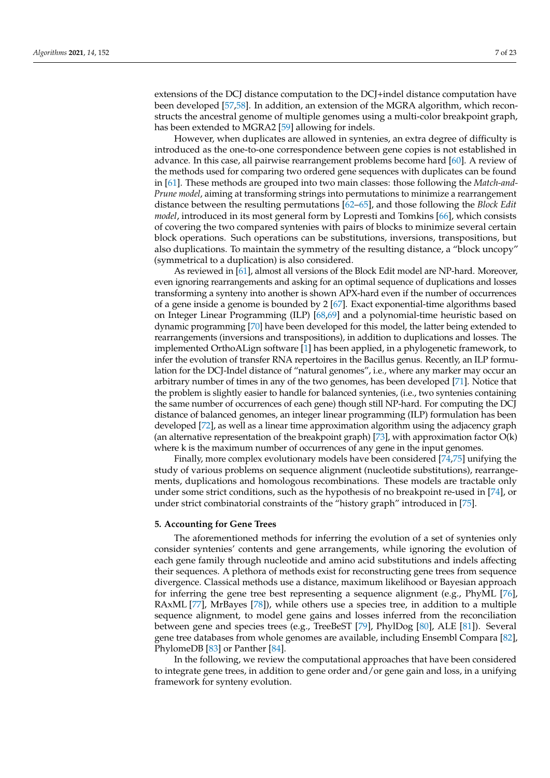extensions of the DCJ distance computation to the DCJ+indel distance computation have been developed [\[57](#page-19-25)[,58\]](#page-19-26). In addition, an extension of the MGRA algorithm, which reconstructs the ancestral genome of multiple genomes using a multi-color breakpoint graph, has been extended to MGRA2 [\[59\]](#page-19-27) allowing for indels.

However, when duplicates are allowed in syntenies, an extra degree of difficulty is introduced as the one-to-one correspondence between gene copies is not established in advance. In this case, all pairwise rearrangement problems become hard [\[60\]](#page-19-28). A review of the methods used for comparing two ordered gene sequences with duplicates can be found in [\[61\]](#page-19-29). These methods are grouped into two main classes: those following the *Match-and-Prune model*, aiming at transforming strings into permutations to minimize a rearrangement distance between the resulting permutations [\[62–](#page-19-30)[65\]](#page-20-0), and those following the *Block Edit model*, introduced in its most general form by Lopresti and Tomkins [\[66\]](#page-20-1), which consists of covering the two compared syntenies with pairs of blocks to minimize several certain block operations. Such operations can be substitutions, inversions, transpositions, but also duplications. To maintain the symmetry of the resulting distance, a "block uncopy" (symmetrical to a duplication) is also considered.

As reviewed in [\[61\]](#page-19-29), almost all versions of the Block Edit model are NP-hard. Moreover, even ignoring rearrangements and asking for an optimal sequence of duplications and losses transforming a synteny into another is shown APX-hard even if the number of occurrences of a gene inside a genome is bounded by 2 [\[67\]](#page-20-2). Exact exponential-time algorithms based on Integer Linear Programming (ILP) [\[68](#page-20-3)[,69\]](#page-20-4) and a polynomial-time heuristic based on dynamic programming [\[70\]](#page-20-5) have been developed for this model, the latter being extended to rearrangements (inversions and transpositions), in addition to duplications and losses. The implemented OrthoALign software [\[1\]](#page-18-0) has been applied, in a phylogenetic framework, to infer the evolution of transfer RNA repertoires in the Bacillus genus. Recently, an ILP formulation for the DCJ-Indel distance of "natural genomes", i.e., where any marker may occur an arbitrary number of times in any of the two genomes, has been developed [\[71\]](#page-20-6). Notice that the problem is slightly easier to handle for balanced syntenies, (i.e., two syntenies containing the same number of occurrences of each gene) though still NP-hard. For computing the DCJ distance of balanced genomes, an integer linear programming (ILP) formulation has been developed [\[72\]](#page-20-7), as well as a linear time approximation algorithm using the adjacency graph (an alternative representation of the breakpoint graph) [\[73\]](#page-20-8), with approximation factor  $O(k)$ where k is the maximum number of occurrences of any gene in the input genomes.

Finally, more complex evolutionary models have been considered [\[74](#page-20-9)[,75\]](#page-20-10) unifying the study of various problems on sequence alignment (nucleotide substitutions), rearrangements, duplications and homologous recombinations. These models are tractable only under some strict conditions, such as the hypothesis of no breakpoint re-used in [\[74\]](#page-20-9), or under strict combinatorial constraints of the "history graph" introduced in [\[75\]](#page-20-10).

# <span id="page-6-0"></span>**5. Accounting for Gene Trees**

The aforementioned methods for inferring the evolution of a set of syntenies only consider syntenies' contents and gene arrangements, while ignoring the evolution of each gene family through nucleotide and amino acid substitutions and indels affecting their sequences. A plethora of methods exist for reconstructing gene trees from sequence divergence. Classical methods use a distance, maximum likelihood or Bayesian approach for inferring the gene tree best representing a sequence alignment (e.g., PhyML [\[76\]](#page-20-11), RAxML [\[77\]](#page-20-12), MrBayes [\[78\]](#page-20-13)), while others use a species tree, in addition to a multiple sequence alignment, to model gene gains and losses inferred from the reconciliation between gene and species trees (e.g., TreeBeST [\[79\]](#page-20-14), PhylDog [\[80\]](#page-20-15), ALE [\[81\]](#page-20-16)). Several gene tree databases from whole genomes are available, including Ensembl Compara [\[82\]](#page-20-17), PhylomeDB [\[83\]](#page-20-18) or Panther [\[84\]](#page-20-19).

In the following, we review the computational approaches that have been considered to integrate gene trees, in addition to gene order and/or gene gain and loss, in a unifying framework for synteny evolution.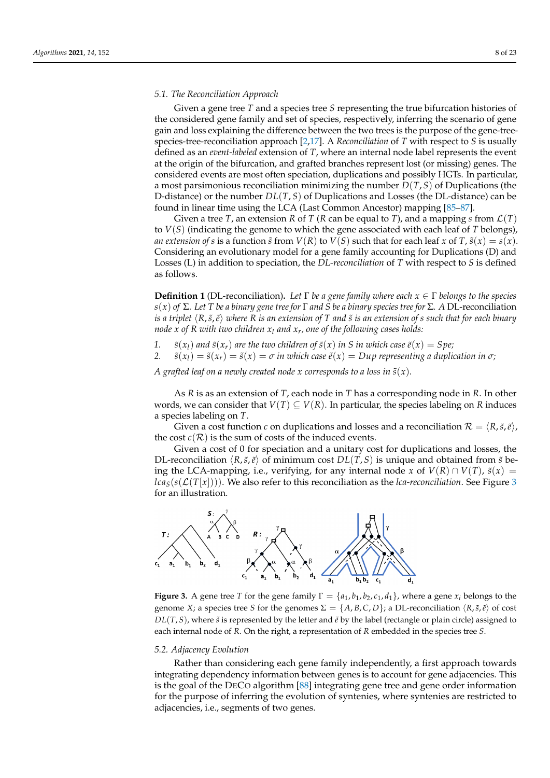#### *5.1. The Reconciliation Approach*

Given a gene tree *T* and a species tree *S* representing the true bifurcation histories of the considered gene family and set of species, respectively, inferring the scenario of gene gain and loss explaining the difference between the two trees is the purpose of the gene-treespecies-tree-reconciliation approach [\[2](#page-18-1)[,17\]](#page-18-14). A *Reconciliation* of *T* with respect to *S* is usually defined as an *event-labeled* extension of *T*, where an internal node label represents the event at the origin of the bifurcation, and grafted branches represent lost (or missing) genes. The considered events are most often speciation, duplications and possibly HGTs. In particular, a most parsimonious reconciliation minimizing the number *D*(*T*, *S*) of Duplications (the D-distance) or the number *DL*(*T*, *S*) of Duplications and Losses (the DL-distance) can be found in linear time using the LCA (Last Common Ancestor) mapping [\[85–](#page-20-20)[87\]](#page-20-21).

Given a tree *T*, an extension *R* of *T* (*R* can be equal to *T*), and a mapping *s* from  $\mathcal{L}(T)$ to *V*(*S*) (indicating the genome to which the gene associated with each leaf of *T* belongs), *an extension of s* is a function  $\tilde{s}$  from  $V(R)$  to  $V(S)$  such that for each leaf *x* of  $T$ ,  $\tilde{s}(x) = s(x)$ . Considering an evolutionary model for a gene family accounting for Duplications (D) and Losses (L) in addition to speciation, the *DL-reconciliation* of *T* with respect to *S* is defined as follows.

**Definition 1** (DL-reconciliation)**.** *Let* Γ *be a gene family where each x* ∈ Γ *belongs to the species s*(*x*) *of* Σ*. Let T be a binary gene tree for* Γ *and S be a binary species tree for* Σ*. A* DL-reconciliation *is a triplet*  $\langle R, \tilde{s}, \tilde{e} \rangle$  *where R is an extension of T and*  $\tilde{s}$  *is an extension of s such that for each binary node x of R with two children x<sup>l</sup> and x<sup>r</sup> , one of the following cases holds:*

- 1. *s* $(x_l)$  *and s* $(x_r)$  *are the two children of s* $(x)$  *in S in which case*  $\tilde{e}(x) = Spe;$
- 2.  $\tilde{s}(x_l) = \tilde{s}(x_r) = \tilde{s}(x) = \sigma$  *in which case*  $\tilde{e}(x) = Dup$  representing a duplication in  $\sigma$ ;

*A* grafted leaf on a newly created node x corresponds to a loss in  $\tilde{s}(x)$ .

As *R* is as an extension of *T*, each node in *T* has a corresponding node in *R*. In other words, we can consider that  $V(T) \subseteq V(R)$ . In particular, the species labeling on R induces a species labeling on *T*.

Given a cost function *c* on duplications and losses and a reconciliation  $\mathcal{R} = \langle R, \tilde{s}, \tilde{e} \rangle$ , the cost  $c(\mathcal{R})$  is the sum of costs of the induced events.

Given a cost of 0 for speciation and a unitary cost for duplications and losses, the DL-reconciliation  $\langle R, \tilde{s}, \tilde{e} \rangle$  of minimum cost  $DL(T, S)$  is unique and obtained from  $\tilde{s}$  being the LCA-mapping, i.e., verifying, for any internal node *x* of  $V(R) \cap V(T)$ ,  $\tilde{s}(x) =$  $lca<sub>S</sub>(s(\mathcal{L}(T[x]))$ ). We also refer to this reconciliation as the *lca-reconciliation*. See Figure [3](#page-7-0) for an illustration.

<span id="page-7-0"></span>

**Figure 3.** A gene tree *T* for the gene family  $\Gamma = \{a_1, b_1, b_2, c_1, d_1\}$ , where a gene  $x_i$  belongs to the genome *X*; a species tree *S* for the genomes  $\Sigma = \{A, B, C, D\}$ ; a DL-reconciliation  $\langle R, \tilde{s}, \tilde{e} \rangle$  of cost *DL*(*T*, *S*), where *s*̃ is represented by the letter and  $\tilde{e}$  by the label (rectangle or plain circle) assigned to each internal node of *R*. On the right, a representation of *R* embedded in the species tree *S*.

#### *5.2. Adjacency Evolution*

Rather than considering each gene family independently, a first approach towards integrating dependency information between genes is to account for gene adjacencies. This is the goal of the DECO algorithm [\[88\]](#page-20-22) integrating gene tree and gene order information for the purpose of inferring the evolution of syntenies, where syntenies are restricted to adjacencies, i.e., segments of two genes.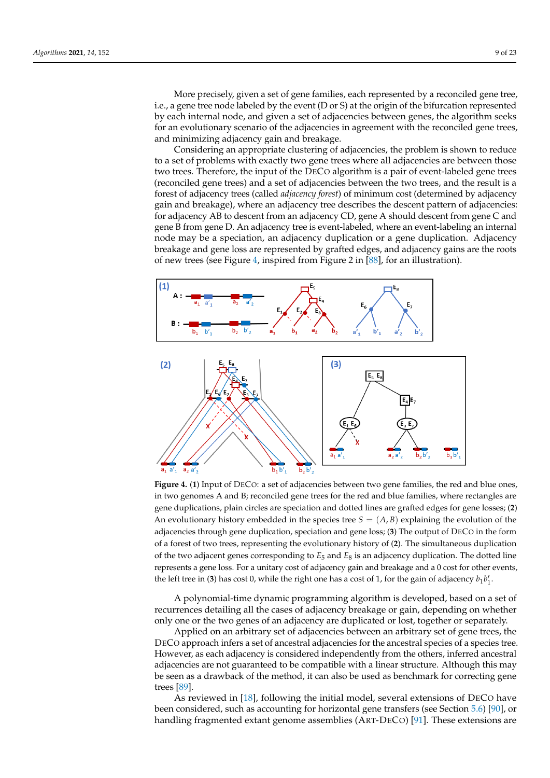More precisely, given a set of gene families, each represented by a reconciled gene tree, i.e., a gene tree node labeled by the event (D or S) at the origin of the bifurcation represented by each internal node, and given a set of adjacencies between genes, the algorithm seeks for an evolutionary scenario of the adjacencies in agreement with the reconciled gene trees, and minimizing adjacency gain and breakage.

Considering an appropriate clustering of adjacencies, the problem is shown to reduce to a set of problems with exactly two gene trees where all adjacencies are between those two trees. Therefore, the input of the DECO algorithm is a pair of event-labeled gene trees (reconciled gene trees) and a set of adjacencies between the two trees, and the result is a forest of adjacency trees (called *adjacency forest*) of minimum cost (determined by adjacency gain and breakage), where an adjacency tree describes the descent pattern of adjacencies: for adjacency AB to descent from an adjacency CD, gene A should descent from gene C and gene B from gene D. An adjacency tree is event-labeled, where an event-labeling an internal node may be a speciation, an adjacency duplication or a gene duplication. Adjacency breakage and gene loss are represented by grafted edges, and adjacency gains are the roots of new trees (see Figure [4,](#page-8-0) inspired from Figure 2 in [\[88\]](#page-20-22), for an illustration).

<span id="page-8-0"></span>

**Figure 4.** (**1**) Input of DECO: a set of adjacencies between two gene families, the red and blue ones, in two genomes A and B; reconciled gene trees for the red and blue families, where rectangles are gene duplications, plain circles are speciation and dotted lines are grafted edges for gene losses; (**2**) An evolutionary history embedded in the species tree  $S = (A, B)$  explaining the evolution of the adjacencies through gene duplication, speciation and gene loss; (**3**) The output of DECO in the form of a forest of two trees, representing the evolutionary history of (**2**). The simultaneous duplication of the two adjacent genes corresponding to  $E_5$  and  $E_8$  is an adjacency duplication. The dotted line represents a gene loss. For a unitary cost of adjacency gain and breakage and a 0 cost for other events, the left tree in (3) has cost 0, while the right one has a cost of 1, for the gain of adjacency  $b_1b_1^{\prime}$ .

A polynomial-time dynamic programming algorithm is developed, based on a set of recurrences detailing all the cases of adjacency breakage or gain, depending on whether only one or the two genes of an adjacency are duplicated or lost, together or separately.

Applied on an arbitrary set of adjacencies between an arbitrary set of gene trees, the DECO approach infers a set of ancestral adjacencies for the ancestral species of a species tree. However, as each adjacency is considered independently from the others, inferred ancestral adjacencies are not guaranteed to be compatible with a linear structure. Although this may be seen as a drawback of the method, it can also be used as benchmark for correcting gene trees [\[89\]](#page-20-23).

As reviewed in [\[18\]](#page-18-15), following the initial model, several extensions of DECO have been considered, such as accounting for horizontal gene transfers (see Section [5.6\)](#page-15-0) [\[90\]](#page-20-24), or handling fragmented extant genome assemblies (ART-DECO) [\[91\]](#page-20-25). These extensions are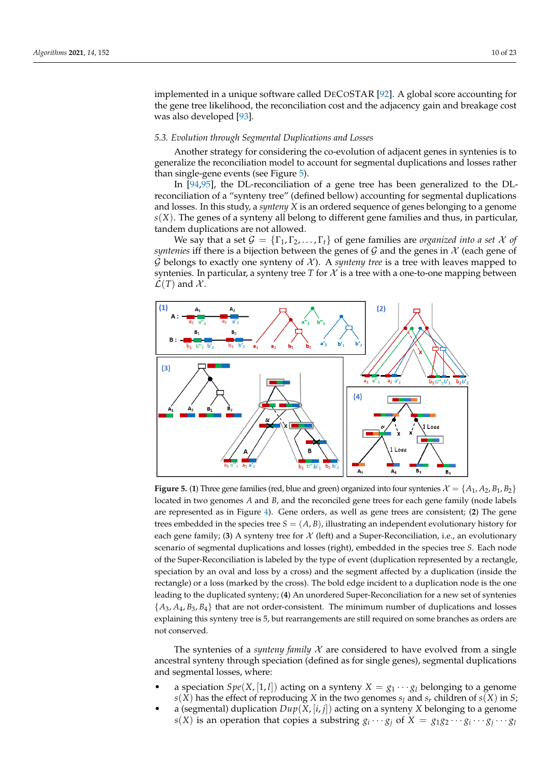implemented in a unique software called DECOSTAR [\[92\]](#page-20-26). A global score accounting for the gene tree likelihood, the reconciliation cost and the adjacency gain and breakage cost was also developed [\[93\]](#page-20-27).

## <span id="page-9-1"></span>*5.3. Evolution through Segmental Duplications and Losses*

Another strategy for considering the co-evolution of adjacent genes in syntenies is to generalize the reconciliation model to account for segmental duplications and losses rather than single-gene events (see Figure [5\)](#page-9-0).

In [\[94,](#page-21-0)[95\]](#page-21-1), the DL-reconciliation of a gene tree has been generalized to the DLreconciliation of a "synteny tree" (defined bellow) accounting for segmental duplications and losses. In this study, a *synteny X* is an ordered sequence of genes belonging to a genome *s*(*X*). The genes of a synteny all belong to different gene families and thus, in particular, tandem duplications are not allowed.

We say that a set  $\mathcal{G} = \{\Gamma_1, \Gamma_2, \ldots, \Gamma_t\}$  of gene families are *organized into a set*  $\mathcal X$  of *syntenies* iff there is a bijection between the genes of  $\mathcal G$  and the genes in  $\mathcal X$  (each gene of  $G$  belongs to exactly one synteny of  $X$ ). A *synteny tree* is a tree with leaves mapped to syntenies. In particular, a synteny tree  $T$  for  $\mathcal X$  is a tree with a one-to-one mapping between  $\mathcal{L}(T)$  and  $\mathcal{X}$ .

<span id="page-9-0"></span>

**Figure 5.** (1) Three gene families (red, blue and green) organized into four syntenies  $\mathcal{X} = \{A_1, A_2, B_1, B_2\}$ located in two genomes *A* and *B*, and the reconciled gene trees for each gene family (node labels are represented as in Figure [4\)](#page-8-0). Gene orders, as well as gene trees are consistent; (**2**) The gene trees embedded in the species tree  $S = (A, B)$ , illustrating an independent evolutionary history for each gene family; (3) A synteny tree for  $\mathcal{X}$  (left) and a Super-Reconciliation, i.e., an evolutionary scenario of segmental duplications and losses (right), embedded in the species tree *S*. Each node of the Super-Reconciliation is labeled by the type of event (duplication represented by a rectangle, speciation by an oval and loss by a cross) and the segment affected by a duplication (inside the rectangle) or a loss (marked by the cross). The bold edge incident to a duplication node is the one leading to the duplicated synteny; (**4**) An unordered Super-Reconciliation for a new set of syntenies  $\{A_3, A_4, B_3, B_4\}$  that are not order-consistent. The minimum number of duplications and losses explaining this synteny tree is 5, but rearrangements are still required on some branches as orders are not conserved.

The syntenies of a *synteny family*  $X$  are considered to have evolved from a single ancestral synteny through speciation (defined as for single genes), segmental duplications and segmental losses, where:

- a speciation *Spe*(*X*, [1, *l*]) acting on a synteny  $X = g_1 \cdots g_l$  belonging to a genome  $s(X)$  has the effect of reproducing *X* in the two genomes  $s_l$  and  $s_r$  children of  $s(X)$  in *S*;
- a (segmental) duplication  $Dup(X, [i, j])$  acting on a synteny *X* belonging to a genome  $s(X)$  is an operation that copies a substring  $g_i \cdots g_j$  of  $X = g_1 g_2 \cdots g_i \cdots g_j \cdots g_l$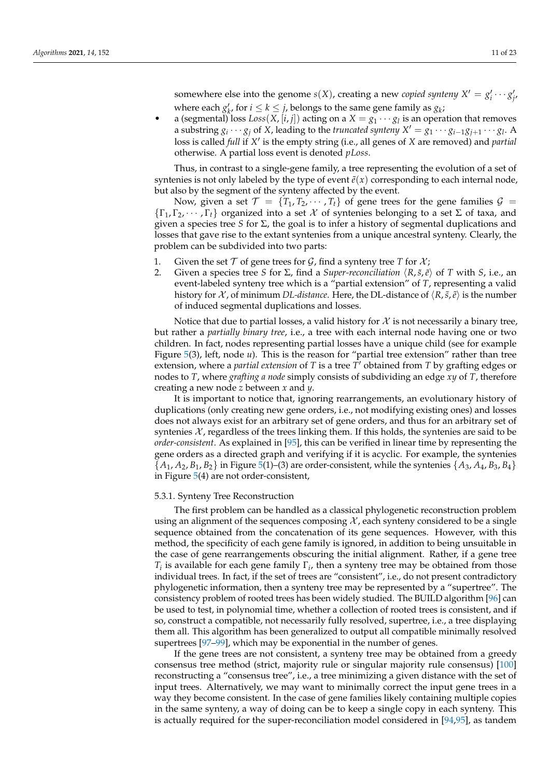somewhere else into the genome  $s(X)$ , creating a new *copied synteny*  $X' = g'_i \cdots g'_{j'}$ where each  $g'_k$ , for  $i \leq k \leq j$ , belongs to the same gene family as  $g_k$ ;

• a (segmental) loss  $Loss(X, [i, j])$  acting on a  $X = g_1 \cdots g_l$  is an operation that removes a substring  $g_i \cdots g_j$  of *X*, leading to the *truncated synteny*  $X' = g_1 \cdots g_{i-1}g_{j+1} \cdots g_l$ . A loss is called *full* if X' is the empty string (i.e., all genes of X are removed) and *partial* otherwise. A partial loss event is denoted *pLoss*.

Thus, in contrast to a single-gene family, a tree representing the evolution of a set of syntenies is not only labeled by the type of event  $\tilde{e}(x)$  corresponding to each internal node, but also by the segment of the synteny affected by the event.

Now, given a set  $\mathcal{T} = \{T_1, T_2, \cdots, T_t\}$  of gene trees for the gene families  $\mathcal{G} =$  $\{\Gamma_1, \Gamma_2, \cdots, \Gamma_t\}$  organized into a set X of syntenies belonging to a set Σ of taxa, and given a species tree *S* for Σ, the goal is to infer a history of segmental duplications and losses that gave rise to the extant syntenies from a unique ancestral synteny. Clearly, the problem can be subdivided into two parts:

- 1. Given the set  $T$  of gene trees for  $G$ , find a synteny tree  $T$  for  $\mathcal{X}$ ;
- 2. Given a species tree *S* for Σ, find a *Super-reconciliation*  $\langle R, \tilde{s}, \tilde{e} \rangle$  of *T* with *S*, i.e., an event-labeled synteny tree which is a "partial extension" of *T*, representing a valid history for X, of minimum *DL-distance*. Here, the DL-distance of  $\langle R, \tilde{s}, \tilde{e} \rangle$  is the number of induced segmental duplications and losses.

Notice that due to partial losses, a valid history for  $\mathcal X$  is not necessarily a binary tree, but rather a *partially binary tree*, i.e., a tree with each internal node having one or two children. In fact, nodes representing partial losses have a unique child (see for example Figure [5\(](#page-9-0)3), left, node *u*). This is the reason for "partial tree extension" rather than tree extension, where a *partial extension* of *T* is a tree  $\overline{T}'$  obtained from *T* by grafting edges or nodes to *T*, where *grafting a node* simply consists of subdividing an edge *xy* of *T*, therefore creating a new node *z* between *x* and *y*.

It is important to notice that, ignoring rearrangements, an evolutionary history of duplications (only creating new gene orders, i.e., not modifying existing ones) and losses does not always exist for an arbitrary set of gene orders, and thus for an arbitrary set of syntenies  $\mathcal{X}$ , regardless of the trees linking them. If this holds, the syntenies are said to be *order-consistent*. As explained in [\[95\]](#page-21-1), this can be verified in linear time by representing the gene orders as a directed graph and verifying if it is acyclic. For example, the syntenies  $\{A_1, A_2, B_1, B_2\}$  in Figure [5\(](#page-9-0)1)–(3) are order-consistent, while the syntenies  $\{A_3, A_4, B_3, B_4\}$ in Figure [5\(](#page-9-0)4) are not order-consistent,

#### 5.3.1. Synteny Tree Reconstruction

The first problem can be handled as a classical phylogenetic reconstruction problem using an alignment of the sequences composing  $\mathcal{X}$ , each synteny considered to be a single sequence obtained from the concatenation of its gene sequences. However, with this method, the specificity of each gene family is ignored, in addition to being unsuitable in the case of gene rearrangements obscuring the initial alignment. Rather, if a gene tree *Ti* is available for each gene family Γ*<sup>i</sup>* , then a synteny tree may be obtained from those individual trees. In fact, if the set of trees are "consistent", i.e., do not present contradictory phylogenetic information, then a synteny tree may be represented by a "supertree". The consistency problem of rooted trees has been widely studied. The BUILD algorithm [\[96\]](#page-21-2) can be used to test, in polynomial time, whether a collection of rooted trees is consistent, and if so, construct a compatible, not necessarily fully resolved, supertree, i.e., a tree displaying them all. This algorithm has been generalized to output all compatible minimally resolved supertrees [\[97–](#page-21-3)[99\]](#page-21-4), which may be exponential in the number of genes.

If the gene trees are not consistent, a synteny tree may be obtained from a greedy consensus tree method (strict, majority rule or singular majority rule consensus) [\[100\]](#page-21-5) reconstructing a "consensus tree", i.e., a tree minimizing a given distance with the set of input trees. Alternatively, we may want to minimally correct the input gene trees in a way they become consistent. In the case of gene families likely containing multiple copies in the same synteny, a way of doing can be to keep a single copy in each synteny. This is actually required for the super-reconciliation model considered in [\[94,](#page-21-0)[95\]](#page-21-1), as tandem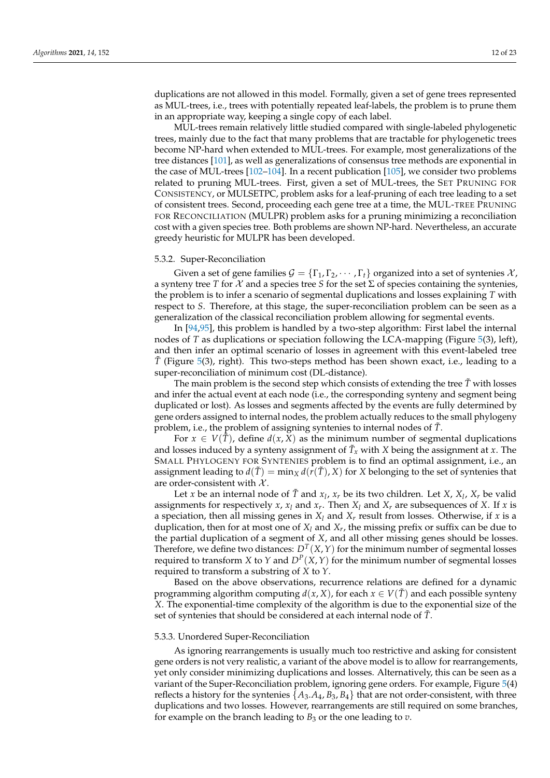duplications are not allowed in this model. Formally, given a set of gene trees represented as MUL-trees, i.e., trees with potentially repeated leaf-labels, the problem is to prune them in an appropriate way, keeping a single copy of each label.

MUL-trees remain relatively little studied compared with single-labeled phylogenetic trees, mainly due to the fact that many problems that are tractable for phylogenetic trees become NP-hard when extended to MUL-trees. For example, most generalizations of the tree distances [\[101\]](#page-21-6), as well as generalizations of consensus tree methods are exponential in the case of MUL-trees [\[102–](#page-21-7)[104\]](#page-21-8). In a recent publication [\[105\]](#page-21-9), we consider two problems related to pruning MUL-trees. First, given a set of MUL-trees, the SET PRUNING FOR CONSISTENCY, or MULSETPC, problem asks for a leaf-pruning of each tree leading to a set of consistent trees. Second, proceeding each gene tree at a time, the MUL-TREE PRUNING FOR RECONCILIATION (MULPR) problem asks for a pruning minimizing a reconciliation cost with a given species tree. Both problems are shown NP-hard. Nevertheless, an accurate greedy heuristic for MULPR has been developed.

## 5.3.2. Super-Reconciliation

Given a set of gene families  $\mathcal{G} = \{\Gamma_1, \Gamma_2, \cdots, \Gamma_t\}$  organized into a set of syntenies  $\mathcal{X}$ , a synteny tree *T* for  $X$  and a species tree *S* for the set  $\Sigma$  of species containing the syntenies, the problem is to infer a scenario of segmental duplications and losses explaining *T* with respect to *S*. Therefore, at this stage, the super-reconciliation problem can be seen as a generalization of the classical reconciliation problem allowing for segmental events.

In [\[94,](#page-21-0)[95\]](#page-21-1), this problem is handled by a two-step algorithm: First label the internal nodes of *T* as duplications or speciation following the LCA-mapping (Figure [5\(](#page-9-0)3), left), and then infer an optimal scenario of losses in agreement with this event-labeled tree *T*˜ (Figure [5\(](#page-9-0)3), right). This two-steps method has been shown exact, i.e., leading to a super-reconciliation of minimum cost (DL-distance).

The main problem is the second step which consists of extending the tree  $\tilde{T}$  with losses and infer the actual event at each node (i.e., the corresponding synteny and segment being duplicated or lost). As losses and segments affected by the events are fully determined by gene orders assigned to internal nodes, the problem actually reduces to the small phylogeny problem, i.e., the problem of assigning syntenies to internal nodes of *T*˜.

For  $x \in V(\tilde{T})$ , define  $d(x, X)$  as the minimum number of segmental duplications and losses induced by a synteny assignment of  $\tilde{T}_x$  with *X* being the assignment at *x*. The SMALL PHYLOGENY FOR SYNTENIES problem is to find an optimal assignment, i.e., an assignment leading to  $d(\tilde{T}) = \min_X d(r(\tilde{T}), X)$  for *X* belonging to the set of syntenies that are order-consistent with  $\mathcal{X}$ .

Let *x* be an internal node of  $\tilde{T}$  and  $x_l$ ,  $x_r$  be its two children. Let *X*,  $X_l$ ,  $X_r$  be valid assignments for respectively *x*,  $x_l$  and  $x_r$ . Then  $X_l$  and  $X_r$  are subsequences of *X*. If *x* is a speciation, then all missing genes in  $X_l$  and  $X_r$  result from losses. Otherwise, if  $x$  is a duplication, then for at most one of *X<sup>l</sup>* and *X<sup>r</sup>* , the missing prefix or suffix can be due to the partial duplication of a segment of *X*, and all other missing genes should be losses. Therefore, we define two distances:  $D^T(X, Y)$  for the minimum number of segmental losses required to transform *X* to *Y* and  $D^P(X, Y)$  for the minimum number of segmental losses required to transform a substring of *X* to *Y*.

Based on the above observations, recurrence relations are defined for a dynamic programming algorithm computing  $d(x, X)$ , for each  $x \in V(\tilde{T})$  and each possible synteny *X*. The exponential-time complexity of the algorithm is due to the exponential size of the set of syntenies that should be considered at each internal node of *T*˜.

#### 5.3.3. Unordered Super-Reconciliation

As ignoring rearrangements is usually much too restrictive and asking for consistent gene orders is not very realistic, a variant of the above model is to allow for rearrangements, yet only consider minimizing duplications and losses. Alternatively, this can be seen as a variant of the Super-Reconciliation problem, ignoring gene orders. For example, Figure [5\(](#page-9-0)4) reflects a history for the syntenies  $\{A_3.A_4, B_3, B_4\}$  that are not order-consistent, with three duplications and two losses. However, rearrangements are still required on some branches, for example on the branch leading to  $B_3$  or the one leading to  $v$ .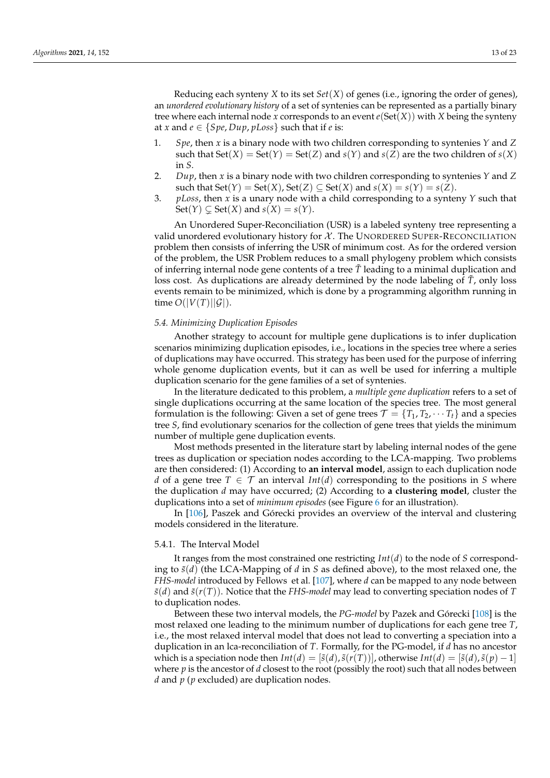Reducing each synteny *X* to its set *Set*(*X*) of genes (i.e., ignoring the order of genes), an *unordered evolutionary history* of a set of syntenies can be represented as a partially binary tree where each internal node *x* corresponds to an event  $e(Set(X))$  with *X* being the synteny at *x* and  $e \in \{Spe, Dup, pLoss\}$  such that if *e* is:

- 1. *Spe*, then *x* is a binary node with two children corresponding to syntenies *Y* and *Z* such that  $Set(X) = Set(Y) = Set(Z)$  and  $s(Y)$  and  $s(Z)$  are the two children of  $s(X)$ in *S*.
- 2. *Dup*, then *x* is a binary node with two children corresponding to syntenies *Y* and *Z* such that  $Set(Y) = Set(X)$ ,  $Set(Z) \subseteq Set(X)$  and  $s(X) = s(Y) = s(Z)$ .
- 3. *pLoss*, then *x* is a unary node with a child corresponding to a synteny *Y* such that  $Set(Y) \subseteq Set(X)$  and  $s(X) = s(Y)$ .

An Unordered Super-Reconciliation (USR) is a labeled synteny tree representing a valid unordered evolutionary history for  $\mathcal X$ . The UNORDERED SUPER-RECONCILIATION problem then consists of inferring the USR of minimum cost. As for the ordered version of the problem, the USR Problem reduces to a small phylogeny problem which consists of inferring internal node gene contents of a tree  $\tilde{T}$  leading to a minimal duplication and loss cost. As duplications are already determined by the node labeling of  $\tilde{T}$ , only loss events remain to be minimized, which is done by a programming algorithm running in time  $O(|V(T)||\mathcal{G}|)$ .

#### *5.4. Minimizing Duplication Episodes*

Another strategy to account for multiple gene duplications is to infer duplication scenarios minimizing duplication episodes, i.e., locations in the species tree where a series of duplications may have occurred. This strategy has been used for the purpose of inferring whole genome duplication events, but it can as well be used for inferring a multiple duplication scenario for the gene families of a set of syntenies.

In the literature dedicated to this problem, a *multiple gene duplication* refers to a set of single duplications occurring at the same location of the species tree. The most general formulation is the following: Given a set of gene trees  $\mathcal{T} = \{T_1, T_2, \dots, T_t\}$  and a species tree *S*, find evolutionary scenarios for the collection of gene trees that yields the minimum number of multiple gene duplication events.

Most methods presented in the literature start by labeling internal nodes of the gene trees as duplication or speciation nodes according to the LCA-mapping. Two problems are then considered: (1) According to **an interval model**, assign to each duplication node *d* of a gene tree  $T \in \mathcal{T}$  an interval *Int*(*d*) corresponding to the positions in *S* where the duplication *d* may have occurred; (2) According to **a clustering model**, cluster the duplications into a set of *minimum episodes* (see Figure [6](#page-13-0) for an illustration).

In [\[106\]](#page-21-10), Paszek and Górecki provides an overview of the interval and clustering models considered in the literature.

#### 5.4.1. The Interval Model

It ranges from the most constrained one restricting *Int*(*d*) to the node of *S* corresponding to  $\tilde{s}(d)$  (the LCA-Mapping of *d* in *S* as defined above), to the most relaxed one, the *FHS-model* introduced by Fellows et al. [\[107\]](#page-21-11), where *d* can be mapped to any node between  $\tilde{s}(d)$  and  $\tilde{s}(r(T))$ . Notice that the *FHS-model* may lead to converting speciation nodes of *T* to duplication nodes.

Between these two interval models, the *PG-model* by Pazek and Górecki [\[108\]](#page-21-12) is the most relaxed one leading to the minimum number of duplications for each gene tree *T*, i.e., the most relaxed interval model that does not lead to converting a speciation into a duplication in an lca-reconciliation of *T*. Formally, for the PG-model, if *d* has no ancestor which is a speciation node then  $Int(d) = [\tilde{s}(d), \tilde{s}(r(T))]$ , otherwise  $Int(d) = [\tilde{s}(d), \tilde{s}(p) - 1]$ where  $p$  is the ancestor of  $d$  closest to the root (possibly the root) such that all nodes between *d* and *p* (*p* excluded) are duplication nodes.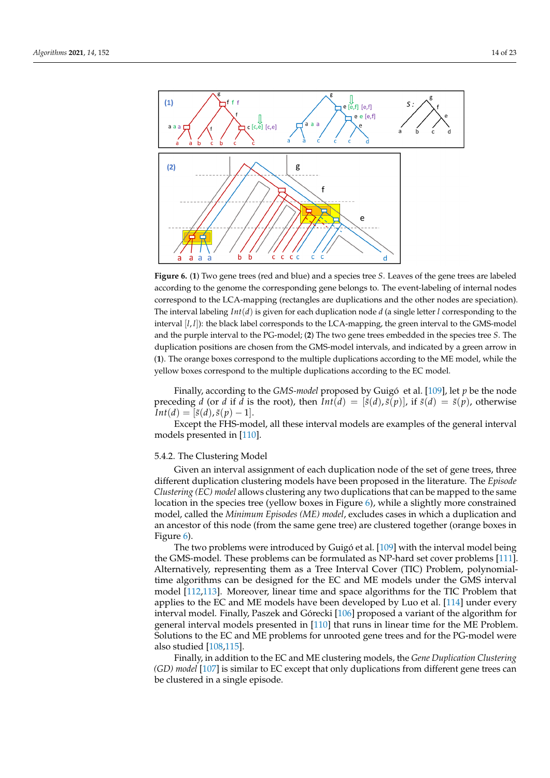<span id="page-13-0"></span>

**Figure 6.** (**1**) Two gene trees (red and blue) and a species tree *S*. Leaves of the gene trees are labeled according to the genome the corresponding gene belongs to. The event-labeling of internal nodes correspond to the LCA-mapping (rectangles are duplications and the other nodes are speciation). The interval labeling *Int*(*d*) is given for each duplication node *d* (a single letter *l* corresponding to the interval  $[I, I]$ ): the black label corresponds to the LCA-mapping, the green interval to the GMS-model and the purple interval to the PG-model; (**2**) The two gene trees embedded in the species tree *S*. The duplication positions are chosen from the GMS-model intervals, and indicated by a green arrow in (**1**). The orange boxes correspond to the multiple duplications according to the ME model, while the yellow boxes correspond to the multiple duplications according to the EC model.

Finally, according to the *GMS-model* proposed by Guigó et al. [\[109\]](#page-21-13), let *p* be the node preceding *d* (or *d* if *d* is the root), then  $Int(d) = [\tilde{s}(d), \tilde{s}(p)]$ , if  $\tilde{s}(d) = \tilde{s}(p)$ , otherwise  $Int(d) = [\tilde{s}(d), \tilde{s}(p) - 1].$ 

Except the FHS-model, all these interval models are examples of the general interval models presented in [\[110\]](#page-21-14).

#### 5.4.2. The Clustering Model

Given an interval assignment of each duplication node of the set of gene trees, three different duplication clustering models have been proposed in the literature. The *Episode Clustering (EC) model* allows clustering any two duplications that can be mapped to the same location in the species tree (yellow boxes in Figure [6\)](#page-13-0), while a slightly more constrained model, called the *Minimum Episodes (ME) model*, excludes cases in which a duplication and an ancestor of this node (from the same gene tree) are clustered together (orange boxes in Figure [6\)](#page-13-0).

The two problems were introduced by Guigó et al. [\[109\]](#page-21-13) with the interval model being the GMS-model. These problems can be formulated as NP-hard set cover problems [\[111\]](#page-21-15). Alternatively, representing them as a Tree Interval Cover (TIC) Problem, polynomialtime algorithms can be designed for the EC and ME models under the GMS interval model [\[112](#page-21-16)[,113\]](#page-21-17). Moreover, linear time and space algorithms for the TIC Problem that applies to the EC and ME models have been developed by Luo et al. [\[114\]](#page-21-18) under every interval model. Finally, Paszek and Górecki [\[106\]](#page-21-10) proposed a variant of the algorithm for general interval models presented in [\[110\]](#page-21-14) that runs in linear time for the ME Problem. Solutions to the EC and ME problems for unrooted gene trees and for the PG-model were also studied [\[108](#page-21-12)[,115\]](#page-21-19).

Finally, in addition to the EC and ME clustering models, the *Gene Duplication Clustering (GD) model* [\[107\]](#page-21-11) is similar to EC except that only duplications from different gene trees can be clustered in a single episode.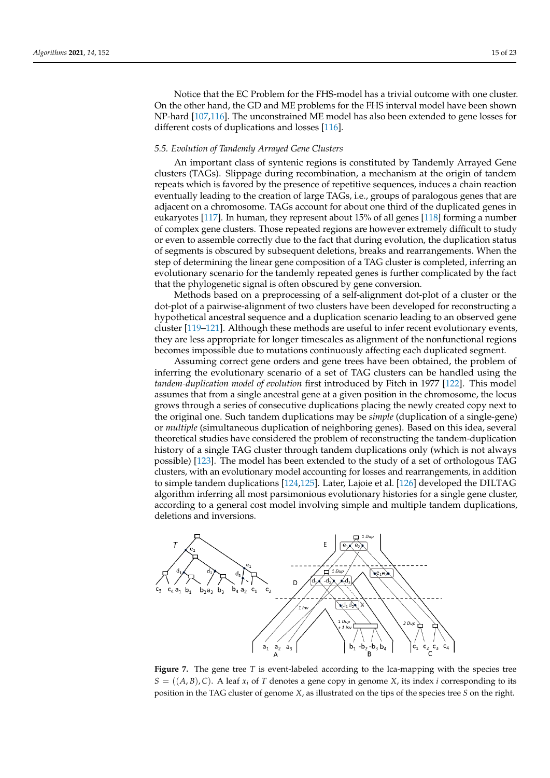Notice that the EC Problem for the FHS-model has a trivial outcome with one cluster. On the other hand, the GD and ME problems for the FHS interval model have been shown NP-hard [\[107](#page-21-11)[,116\]](#page-21-20). The unconstrained ME model has also been extended to gene losses for different costs of duplications and losses [\[116\]](#page-21-20).

## *5.5. Evolution of Tandemly Arrayed Gene Clusters*

An important class of syntenic regions is constituted by Tandemly Arrayed Gene clusters (TAGs). Slippage during recombination, a mechanism at the origin of tandem repeats which is favored by the presence of repetitive sequences, induces a chain reaction eventually leading to the creation of large TAGs, i.e., groups of paralogous genes that are adjacent on a chromosome. TAGs account for about one third of the duplicated genes in eukaryotes [\[117\]](#page-21-21). In human, they represent about 15% of all genes [\[118\]](#page-21-22) forming a number of complex gene clusters. Those repeated regions are however extremely difficult to study or even to assemble correctly due to the fact that during evolution, the duplication status of segments is obscured by subsequent deletions, breaks and rearrangements. When the step of determining the linear gene composition of a TAG cluster is completed, inferring an evolutionary scenario for the tandemly repeated genes is further complicated by the fact that the phylogenetic signal is often obscured by gene conversion.

Methods based on a preprocessing of a self-alignment dot-plot of a cluster or the dot-plot of a pairwise-alignment of two clusters have been developed for reconstructing a hypothetical ancestral sequence and a duplication scenario leading to an observed gene cluster [\[119–](#page-21-23)[121\]](#page-21-24). Although these methods are useful to infer recent evolutionary events, they are less appropriate for longer timescales as alignment of the nonfunctional regions becomes impossible due to mutations continuously affecting each duplicated segment.

Assuming correct gene orders and gene trees have been obtained, the problem of inferring the evolutionary scenario of a set of TAG clusters can be handled using the *tandem-duplication model of evolution* first introduced by Fitch in 1977 [\[122\]](#page-21-25). This model assumes that from a single ancestral gene at a given position in the chromosome, the locus grows through a series of consecutive duplications placing the newly created copy next to the original one. Such tandem duplications may be *simple* (duplication of a single-gene) or *multiple* (simultaneous duplication of neighboring genes). Based on this idea, several theoretical studies have considered the problem of reconstructing the tandem-duplication history of a single TAG cluster through tandem duplications only (which is not always possible) [\[123\]](#page-21-26). The model has been extended to the study of a set of orthologous TAG clusters, with an evolutionary model accounting for losses and rearrangements, in addition to simple tandem duplications [\[124](#page-21-27)[,125\]](#page-21-28). Later, Lajoie et al. [\[126\]](#page-21-29) developed the DILTAG algorithm inferring all most parsimonious evolutionary histories for a single gene cluster, according to a general cost model involving simple and multiple tandem duplications, deletions and inversions.

<span id="page-14-0"></span>

**Figure 7.** The gene tree *T* is event-labeled according to the lca-mapping with the species tree  $S = ((A, B), C)$ . A leaf  $x_i$  of *T* denotes a gene copy in genome *X*, its index *i* corresponding to its position in the TAG cluster of genome *X*, as illustrated on the tips of the species tree *S* on the right.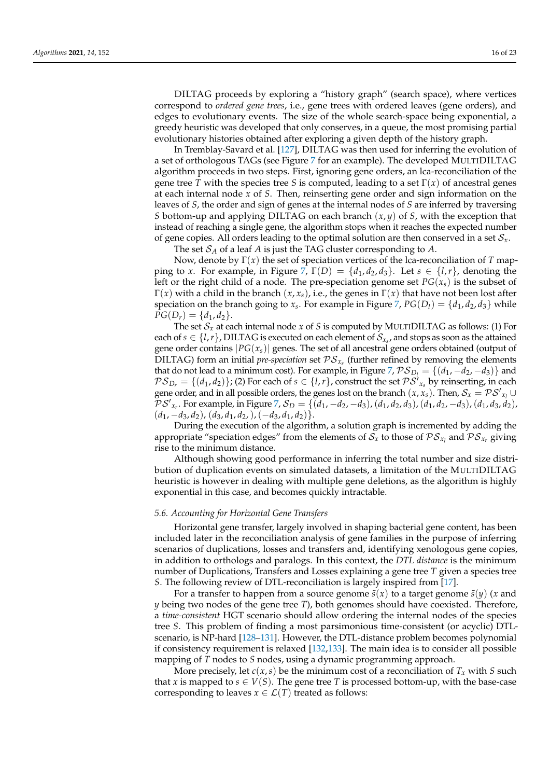DILTAG proceeds by exploring a "history graph" (search space), where vertices correspond to *ordered gene trees*, i.e., gene trees with ordered leaves (gene orders), and edges to evolutionary events. The size of the whole search-space being exponential, a greedy heuristic was developed that only conserves, in a queue, the most promising partial evolutionary histories obtained after exploring a given depth of the history graph.

In Tremblay-Savard et al. [\[127\]](#page-22-0), DILTAG was then used for inferring the evolution of a set of orthologous TAGs (see Figure [7](#page-14-0) for an example). The developed MULTIDILTAG algorithm proceeds in two steps. First, ignoring gene orders, an lca-reconciliation of the gene tree *T* with the species tree *S* is computed, leading to a set  $\Gamma(x)$  of ancestral genes at each internal node *x* of *S*. Then, reinserting gene order and sign information on the leaves of *S*, the order and sign of genes at the internal nodes of *S* are inferred by traversing *S* bottom-up and applying DILTAG on each branch (*x*, *y*) of *S*, with the exception that instead of reaching a single gene, the algorithm stops when it reaches the expected number of gene copies. All orders leading to the optimal solution are then conserved in a set  $S<sub>x</sub>$ .

The set S*<sup>A</sup>* of a leaf *A* is just the TAG cluster corresponding to *A*.

Now, denote by Γ(*x*) the set of speciation vertices of the lca-reconciliation of *T* mapping to *x*. For example, in Figure [7,](#page-14-0)  $\Gamma(D) = \{d_1, d_2, d_3\}$ . Let  $s \in \{l, r\}$ , denoting the left or the right child of a node. The pre-speciation genome set  $PG(x<sub>s</sub>)$  is the subset of Γ(*x*) with a child in the branch (*x*, *xs*), i.e., the genes in Γ(*x*) that have not been lost after speciation on the branch going to  $x_s$ . For example in Figure [7,](#page-14-0)  $PG(D_l) = \{d_1, d_2, d_3\}$  while  $PG(D_r) = \{d_1, d_2\}.$ 

The set  $S_x$  at each internal node  $x$  of  $S$  is computed by MULTIDILTAG as follows: (1) For each of  $s \in \{l, r\}$ , DILTAG is executed on each element of  $\mathcal{S}_{x_s}$ , and stops as soon as the attained gene order contains  $|PG(x<sub>s</sub>)|$  genes. The set of all ancestral gene orders obtained (output of DILTAG) form an initial *pre-speciation* set  $PS_{x_s}$  (further refined by removing the elements that do not lead to a minimum cost). For example, in Figure [7,](#page-14-0)  $\mathcal{PS}_{D_1} = \{(d_1, -d_2, -d_3)\}\$ and  $PS_{D_r} = \{(d_1, d_2)\}\;$  (2) For each of  $s \in \{l, r\}$ , construct the set  $PS'_{x_s}$  by reinserting, in each gene order, and in all possible orders, the genes lost on the branch  $(x, x_s)$ . Then,  $S_x = PS'_{x_l} \cup$  $\overline{\mathcal{P}}\mathcal{S}'_{x_r}$ . For example, in Figure [7,](#page-14-0)  $\mathcal{S}_D = \{ (d_1, -d_2, -d_3), (d_1, d_2, d_3), (d_1, d_2, -d_3), (d_1, d_3, d_2),$  $(d_1, -d_3, d_2), (d_3, d_1, d_2), (-d_3, d_1, d_2)$ .

During the execution of the algorithm, a solution graph is incremented by adding the appropriate "speciation edges" from the elements of  $\mathcal{S}_x$  to those of  $\mathcal{PS}_{x_l}$  and  $\mathcal{PS}_{x_r}$  giving rise to the minimum distance.

Although showing good performance in inferring the total number and size distribution of duplication events on simulated datasets, a limitation of the MULTIDILTAG heuristic is however in dealing with multiple gene deletions, as the algorithm is highly exponential in this case, and becomes quickly intractable.

## <span id="page-15-0"></span>*5.6. Accounting for Horizontal Gene Transfers*

Horizontal gene transfer, largely involved in shaping bacterial gene content, has been included later in the reconciliation analysis of gene families in the purpose of inferring scenarios of duplications, losses and transfers and, identifying xenologous gene copies, in addition to orthologs and paralogs. In this context, the *DTL distance* is the minimum number of Duplications, Transfers and Losses explaining a gene tree *T* given a species tree *S*. The following review of DTL-reconciliation is largely inspired from [\[17\]](#page-18-14).

For a transfer to happen from a source genome  $\tilde{s}(x)$  to a target genome  $\tilde{s}(y)$  (*x* and *y* being two nodes of the gene tree *T*), both genomes should have coexisted. Therefore, a *time-consistent* HGT scenario should allow ordering the internal nodes of the species tree *S*. This problem of finding a most parsimonious time-consistent (or acyclic) DTLscenario, is NP-hard [\[128–](#page-22-1)[131\]](#page-22-2). However, the DTL-distance problem becomes polynomial if consistency requirement is relaxed [\[132,](#page-22-3)[133\]](#page-22-4). The main idea is to consider all possible mapping of *T* nodes to *S* nodes, using a dynamic programming approach.

More precisely, let  $c(x, s)$  be the minimum cost of a reconciliation of  $T<sub>x</sub>$  with *S* such that *x* is mapped to  $s \in V(S)$ . The gene tree *T* is processed bottom-up, with the base-case corresponding to leaves  $x \in \mathcal{L}(T)$  treated as follows: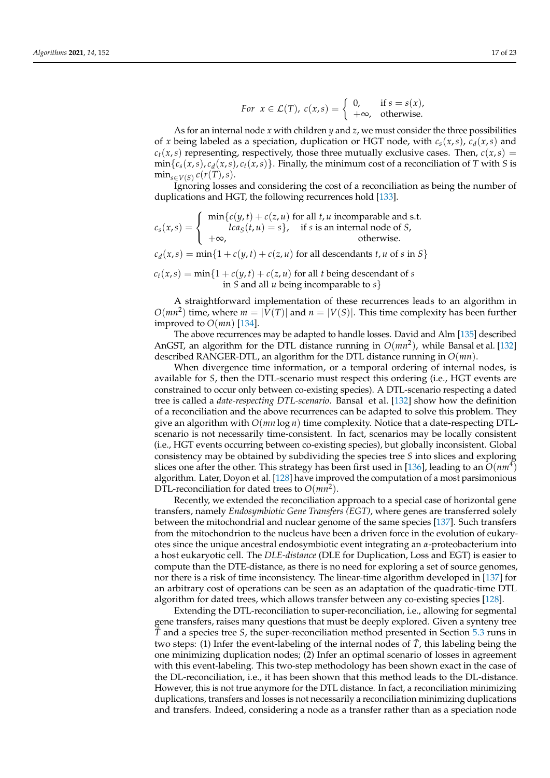For 
$$
x \in \mathcal{L}(T)
$$
,  $c(x, s) = \begin{cases} 0, & \text{if } s = s(x), \\ +\infty, & \text{otherwise.} \end{cases}$ 

As for an internal node *x* with children *y* and *z*, we must consider the three possibilities of *x* being labeled as a speciation, duplication or HGT node, with  $c_s(x, s)$ ,  $c_d(x, s)$  and  $c_t(x, s)$  representing, respectively, those three mutually exclusive cases. Then,  $c(x, s)$  =  $\min\{c_s(x,s), c_d(x,s), c_t(x,s)\}$ . Finally, the minimum cost of a reconciliation of *T* with *S* is  $\min_{s \in V(S)} c(r(T), s).$ 

Ignoring losses and considering the cost of a reconciliation as being the number of duplications and HGT, the following recurrences hold [\[133\]](#page-22-4).

$$
c_s(x,s) = \begin{cases} \min\{c(y,t) + c(z,u) \text{ for all } t, u \text{ incomparable and s.t.} \\ lca_s(t,u) = s\}, & \text{if } s \text{ is an internal node of } S, \\ +\infty, & \text{otherwise.} \end{cases}
$$

 $c_d(x, s) = \min\{1 + c(y, t) + c(z, u) \text{ for all descendants } t, u \text{ of } s \text{ in } S\}$ 

 $c_t(x, s) = \min\{1 + c(y, t) + c(z, u)$  for all *t* being descendant of *s* in *S* and all *u* being incomparable to *s*}

A straightforward implementation of these recurrences leads to an algorithm in  $O(mn^2)$  time, where  $m = |V(T)|$  and  $n = |V(S)|$ . This time complexity has been further improved to  $O(mn)$  [\[134\]](#page-22-5).

The above recurrences may be adapted to handle losses. David and Alm [\[135\]](#page-22-6) described AnGST, an algorithm for the DTL distance running in *O*(*mn*<sup>2</sup> ), while Bansal et al. [\[132\]](#page-22-3) described RANGER-DTL, an algorithm for the DTL distance running in *O*(*mn*).

When divergence time information, or a temporal ordering of internal nodes, is available for *S*, then the DTL-scenario must respect this ordering (i.e., HGT events are constrained to occur only between co-existing species). A DTL-scenario respecting a dated tree is called a *date-respecting DTL-scenario*. Bansal et al. [\[132\]](#page-22-3) show how the definition of a reconciliation and the above recurrences can be adapted to solve this problem. They give an algorithm with *O*(*mn* log *n*) time complexity. Notice that a date-respecting DTLscenario is not necessarily time-consistent. In fact, scenarios may be locally consistent (i.e., HGT events occurring between co-existing species), but globally inconsistent. Global consistency may be obtained by subdividing the species tree *S* into slices and exploring slices one after the other. This strategy has been first used in [\[136\]](#page-22-7), leading to an  $O(nm^4)$ algorithm. Later, Doyon et al. [\[128\]](#page-22-1) have improved the computation of a most parsimonious DTL-reconciliation for dated trees to  $O(mn^2)$ .

Recently, we extended the reconciliation approach to a special case of horizontal gene transfers, namely *Endosymbiotic Gene Transfers (EGT)*, where genes are transferred solely between the mitochondrial and nuclear genome of the same species [\[137\]](#page-22-8). Such transfers from the mitochondrion to the nucleus have been a driven force in the evolution of eukaryotes since the unique ancestral endosymbiotic event integrating an *α*-proteobacterium into a host eukaryotic cell. The *DLE-distance* (DLE for Duplication, Loss and EGT) is easier to compute than the DTE-distance, as there is no need for exploring a set of source genomes, nor there is a risk of time inconsistency. The linear-time algorithm developed in [\[137\]](#page-22-8) for an arbitrary cost of operations can be seen as an adaptation of the quadratic-time DTL algorithm for dated trees, which allows transfer between any co-existing species [\[128\]](#page-22-1).

Extending the DTL-reconciliation to super-reconciliation, i.e., allowing for segmental gene transfers, raises many questions that must be deeply explored. Given a synteny tree *T*˜ and a species tree *S*, the super-reconciliation method presented in Section [5.3](#page-9-1) runs in two steps: (1) Infer the event-labeling of the internal nodes of  $\tilde{T}$ , this labeling being the one minimizing duplication nodes; (2) Infer an optimal scenario of losses in agreement with this event-labeling. This two-step methodology has been shown exact in the case of the DL-reconciliation, i.e., it has been shown that this method leads to the DL-distance. However, this is not true anymore for the DTL distance. In fact, a reconciliation minimizing duplications, transfers and losses is not necessarily a reconciliation minimizing duplications and transfers. Indeed, considering a node as a transfer rather than as a speciation node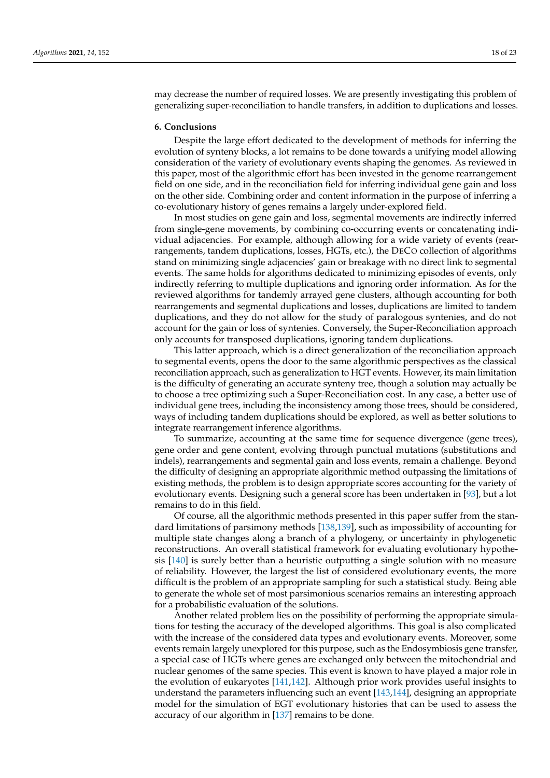may decrease the number of required losses. We are presently investigating this problem of generalizing super-reconciliation to handle transfers, in addition to duplications and losses.

## **6. Conclusions**

Despite the large effort dedicated to the development of methods for inferring the evolution of synteny blocks, a lot remains to be done towards a unifying model allowing consideration of the variety of evolutionary events shaping the genomes. As reviewed in this paper, most of the algorithmic effort has been invested in the genome rearrangement field on one side, and in the reconciliation field for inferring individual gene gain and loss on the other side. Combining order and content information in the purpose of inferring a co-evolutionary history of genes remains a largely under-explored field.

In most studies on gene gain and loss, segmental movements are indirectly inferred from single-gene movements, by combining co-occurring events or concatenating individual adjacencies. For example, although allowing for a wide variety of events (rearrangements, tandem duplications, losses, HGTs, etc.), the DECO collection of algorithms stand on minimizing single adjacencies' gain or breakage with no direct link to segmental events. The same holds for algorithms dedicated to minimizing episodes of events, only indirectly referring to multiple duplications and ignoring order information. As for the reviewed algorithms for tandemly arrayed gene clusters, although accounting for both rearrangements and segmental duplications and losses, duplications are limited to tandem duplications, and they do not allow for the study of paralogous syntenies, and do not account for the gain or loss of syntenies. Conversely, the Super-Reconciliation approach only accounts for transposed duplications, ignoring tandem duplications.

This latter approach, which is a direct generalization of the reconciliation approach to segmental events, opens the door to the same algorithmic perspectives as the classical reconciliation approach, such as generalization to HGT events. However, its main limitation is the difficulty of generating an accurate synteny tree, though a solution may actually be to choose a tree optimizing such a Super-Reconciliation cost. In any case, a better use of individual gene trees, including the inconsistency among those trees, should be considered, ways of including tandem duplications should be explored, as well as better solutions to integrate rearrangement inference algorithms.

To summarize, accounting at the same time for sequence divergence (gene trees), gene order and gene content, evolving through punctual mutations (substitutions and indels), rearrangements and segmental gain and loss events, remain a challenge. Beyond the difficulty of designing an appropriate algorithmic method outpassing the limitations of existing methods, the problem is to design appropriate scores accounting for the variety of evolutionary events. Designing such a general score has been undertaken in [\[93\]](#page-20-27), but a lot remains to do in this field.

Of course, all the algorithmic methods presented in this paper suffer from the standard limitations of parsimony methods [\[138,](#page-22-9)[139\]](#page-22-10), such as impossibility of accounting for multiple state changes along a branch of a phylogeny, or uncertainty in phylogenetic reconstructions. An overall statistical framework for evaluating evolutionary hypothesis [\[140\]](#page-22-11) is surely better than a heuristic outputting a single solution with no measure of reliability. However, the largest the list of considered evolutionary events, the more difficult is the problem of an appropriate sampling for such a statistical study. Being able to generate the whole set of most parsimonious scenarios remains an interesting approach for a probabilistic evaluation of the solutions.

Another related problem lies on the possibility of performing the appropriate simulations for testing the accuracy of the developed algorithms. This goal is also complicated with the increase of the considered data types and evolutionary events. Moreover, some events remain largely unexplored for this purpose, such as the Endosymbiosis gene transfer, a special case of HGTs where genes are exchanged only between the mitochondrial and nuclear genomes of the same species. This event is known to have played a major role in the evolution of eukaryotes [\[141,](#page-22-12)[142\]](#page-22-13). Although prior work provides useful insights to understand the parameters influencing such an event [\[143](#page-22-14)[,144\]](#page-22-15), designing an appropriate model for the simulation of EGT evolutionary histories that can be used to assess the accuracy of our algorithm in [\[137\]](#page-22-8) remains to be done.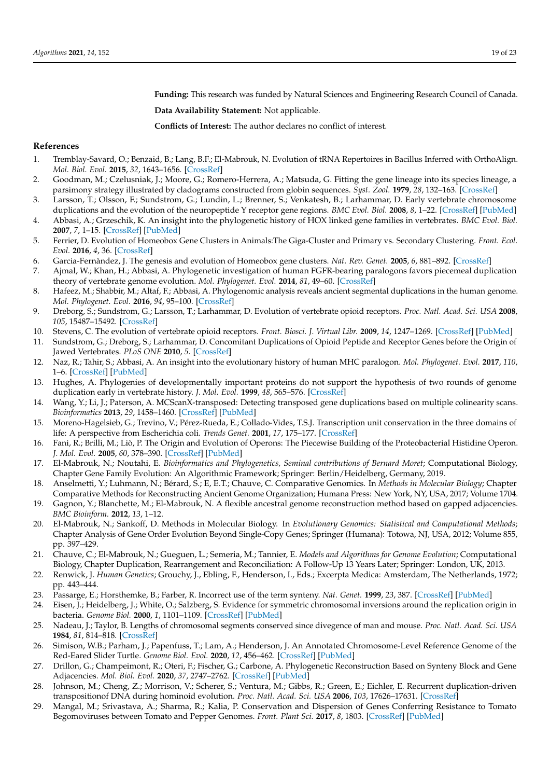**Funding:** This research was funded by Natural Sciences and Engineering Research Council of Canada.

**Data Availability Statement:** Not applicable.

**Conflicts of Interest:** The author declares no conflict of interest.

## **References**

- <span id="page-18-0"></span>1. Tremblay-Savard, O.; Benzaid, B.; Lang, B.F.; El-Mabrouk, N. Evolution of tRNA Repertoires in Bacillus Inferred with OrthoAlign. *Mol. Biol. Evol.* **2015**, *32*, 1643–1656. [\[CrossRef\]](http://doi.org/10.1093/molbev/msv029)
- <span id="page-18-1"></span>2. Goodman, M.; Czelusniak, J.; Moore, G.; Romero-Herrera, A.; Matsuda, G. Fitting the gene lineage into its species lineage, a parsimony strategy illustrated by cladograms constructed from globin sequences. *Syst. Zool.* **1979**, *28*, 132–163. [\[CrossRef\]](http://dx.doi.org/10.2307/2412519)
- <span id="page-18-2"></span>3. Larsson, T.; Olsson, F.; Sundstrom, G.; Lundin, L.; Brenner, S.; Venkatesh, B.; Larhammar, D. Early vertebrate chromosome duplications and the evolution of the neuropeptide Y receptor gene regions. *BMC Evol. Biol.* **2008**, *8*, 1–22. [\[CrossRef\]](http://dx.doi.org/10.1186/1471-2148-8-184) [\[PubMed\]](http://www.ncbi.nlm.nih.gov/pubmed/18578868)
- <span id="page-18-3"></span>4. Abbasi, A.; Grzeschik, K. An insight into the phylogenetic history of HOX linked gene families in vertebrates. *BMC Evol. Biol.* **2007**, *7*, 1–15. [\[CrossRef\]](http://dx.doi.org/10.1186/1471-2148-7-239) [\[PubMed\]](http://www.ncbi.nlm.nih.gov/pubmed/18053128)
- 5. Ferrier, D. Evolution of Homeobox Gene Clusters in Animals:The Giga-Cluster and Primary vs. Secondary Clustering. *Front. Ecol. Evol.* **2016**, *4*, 36. [\[CrossRef\]](http://dx.doi.org/10.3389/fevo.2016.00036)
- <span id="page-18-4"></span>6. Garcia-Fernàndez, J. The genesis and evolution of Homeobox gene clusters. *Nat. Rev. Genet.* **2005**, *6*, 881–892. [\[CrossRef\]](http://dx.doi.org/10.1038/nrg1723)
- <span id="page-18-5"></span>7. Ajmal, W.; Khan, H.; Abbasi, A. Phylogenetic investigation of human FGFR-bearing paralogons favors piecemeal duplication theory of vertebrate genome evolution. *Mol. Phylogenet. Evol.* **2014**, *81*, 49–60. [\[CrossRef\]](http://dx.doi.org/10.1016/j.ympev.2014.09.009)
- <span id="page-18-6"></span>8. Hafeez, M.; Shabbir, M.; Altaf, F.; Abbasi, A. Phylogenomic analysis reveals ancient segmental duplications in the human genome. *Mol. Phylogenet. Evol.* **2016**, *94*, 95–100. [\[CrossRef\]](http://dx.doi.org/10.1016/j.ympev.2015.08.019)
- <span id="page-18-7"></span>9. Dreborg, S.; Sundstrom, G.; Larsson, T.; Larhammar, D. Evolution of vertebrate opioid receptors. *Proc. Natl. Acad. Sci. USA* **2008**, *105*, 15487–15492. [\[CrossRef\]](http://dx.doi.org/10.1073/pnas.0805590105)
- 10. Stevens, C. The evolution of vertebrate opioid receptors. *Front. Biosci. J. Virtual Libr.* **2009**, *14*, 1247–1269. [\[CrossRef\]](http://dx.doi.org/10.2741/3306) [\[PubMed\]](http://www.ncbi.nlm.nih.gov/pubmed/19273128)
- <span id="page-18-8"></span>11. Sundstrom, G.; Dreborg, S.; Larhammar, D. Concomitant Duplications of Opioid Peptide and Receptor Genes before the Origin of Jawed Vertebrates. *PLoS ONE* **2010**, *5*. [\[CrossRef\]](http://dx.doi.org/10.1371/journal.pone.0010512)
- <span id="page-18-9"></span>12. Naz, R.; Tahir, S.; Abbasi, A. An insight into the evolutionary history of human MHC paralogon. *Mol. Phylogenet. Evol.* **2017**, *110*, 1–6. [\[CrossRef\]](http://dx.doi.org/10.1016/j.ympev.2017.02.015) [\[PubMed\]](http://www.ncbi.nlm.nih.gov/pubmed/28249742)
- <span id="page-18-10"></span>13. Hughes, A. Phylogenies of developmentally important proteins do not support the hypothesis of two rounds of genome duplication early in vertebrate history. *J. Mol. Evol.* **1999**, *48*, 565–576. [\[CrossRef\]](http://dx.doi.org/10.1007/PL00006499)
- <span id="page-18-11"></span>14. Wang, Y.; Li, J.; Paterson, A. MCScanX-transposed: Detecting transposed gene duplications based on multiple colinearity scans. *Bioinformatics* **2013**, *29*, 1458–1460. [\[CrossRef\]](http://dx.doi.org/10.1093/bioinformatics/btt150) [\[PubMed\]](http://www.ncbi.nlm.nih.gov/pubmed/23539305)
- <span id="page-18-12"></span>15. Moreno-Hagelsieb, G.; Trevino, V.; Pérez-Rueda, E.; Collado-Vides, T.S.J. Transcription unit conservation in the three domains of life: A perspective from Escherichia coli. *Trends Genet.* **2001**, *17*, 175–177. [\[CrossRef\]](http://dx.doi.org/10.1016/S0168-9525(01)02241-7)
- <span id="page-18-13"></span>16. Fani, R.; Brilli, M.; Liò, P. The Origin and Evolution of Operons: The Piecewise Building of the Proteobacterial Histidine Operon. *J. Mol. Evol.* **2005**, *60*, 378–390. [\[CrossRef\]](http://dx.doi.org/10.1007/s00239-004-0198-1) [\[PubMed\]](http://www.ncbi.nlm.nih.gov/pubmed/15871048)
- <span id="page-18-14"></span>17. El-Mabrouk, N.; Noutahi, E. *Bioinformatics and Phylogenetics, Seminal contributions of Bernard Moret*; Computational Biology, Chapter Gene Family Evolution: An Algorithmic Framework; Springer: Berlin/Heidelberg, Germany, 2019.
- <span id="page-18-15"></span>18. Anselmetti, Y.; Luhmann, N.; Bérard, S.; E, E.T.; Chauve, C. Comparative Genomics. In *Methods in Molecular Biology*; Chapter Comparative Methods for Reconstructing Ancient Genome Organization; Humana Press: New York, NY, USA, 2017; Volume 1704.
- <span id="page-18-16"></span>19. Gagnon, Y.; Blanchette, M.; El-Mabrouk, N. A flexible ancestral genome reconstruction method based on gapped adjacencies. *BMC Bioinform.* **2012**, *13*, 1–12.
- <span id="page-18-17"></span>20. El-Mabrouk, N.; Sankoff, D. Methods in Molecular Biology. In *Evolutionary Genomics: Statistical and Computational Methods*; Chapter Analysis of Gene Order Evolution Beyond Single-Copy Genes; Springer (Humana): Totowa, NJ, USA, 2012; Volume 855, pp. 397–429.
- <span id="page-18-18"></span>21. Chauve, C.; El-Mabrouk, N.; Gueguen, L.; Semeria, M.; Tannier, E. *Models and Algorithms for Genome Evolution*; Computational Biology, Chapter Duplication, Rearrangement and Reconciliation: A Follow-Up 13 Years Later; Springer: London, UK, 2013.
- <span id="page-18-19"></span>22. Renwick, J. *Human Genetics*; Grouchy, J., Ebling, F., Henderson, I., Eds.; Excerpta Medica: Amsterdam, The Netherlands, 1972; pp. 443–444.
- <span id="page-18-20"></span>23. Passarge, E.; Horsthemke, B.; Farber, R. Incorrect use of the term synteny. *Nat. Genet.* **1999**, *23*, 387. [\[CrossRef\]](http://dx.doi.org/10.1038/70486) [\[PubMed\]](http://www.ncbi.nlm.nih.gov/pubmed/10581019)
- <span id="page-18-21"></span>24. Eisen, J.; Heidelberg, J.; White, O.; Salzberg, S. Evidence for symmetric chromosomal inversions around the replication origin in bacteria. *Genome Biol.* **2000**, *1*, 1101–1109. [\[CrossRef\]](http://dx.doi.org/10.1186/gb-2000-1-6-research0011) [\[PubMed\]](http://www.ncbi.nlm.nih.gov/pubmed/11178265)
- <span id="page-18-24"></span>25. Nadeau, J.; Taylor, B. Lengths of chromosomal segments conserved since divegence of man and mouse. *Proc. Natl. Acad. Sci. USA* **1984**, *81*, 814–818. [\[CrossRef\]](http://dx.doi.org/10.1073/pnas.81.3.814)
- <span id="page-18-22"></span>26. Simison, W.B.; Parham, J.; Papenfuss, T.; Lam, A.; Henderson, J. An Annotated Chromosome-Level Reference Genome of the Red-Eared Slider Turtle. *Genome Biol. Evol.* **2020**, *12*, 456–462. [\[CrossRef\]](http://dx.doi.org/10.1093/gbe/evaa063) [\[PubMed\]](http://www.ncbi.nlm.nih.gov/pubmed/32227195)
- <span id="page-18-23"></span>27. Drillon, G.; Champeimont, R.; Oteri, F.; Fischer, G.; Carbone, A. Phylogenetic Reconstruction Based on Synteny Block and Gene Adjacencies. *Mol. Biol. Evol.* **2020**, *37*, 2747–2762. [\[CrossRef\]](http://dx.doi.org/10.1093/molbev/msaa114) [\[PubMed\]](http://www.ncbi.nlm.nih.gov/pubmed/32384156)
- <span id="page-18-25"></span>28. Johnson, M.; Cheng, Z.; Morrison, V.; Scherer, S.; Ventura, M.; Gibbs, R.; Green, E.; Eichler, E. Recurrent duplication-driven transpositionof DNA during hominoid evolution. *Proc. Natl. Acad. Sci. USA* **2006**, *103*, 17626–17631. [\[CrossRef\]](http://dx.doi.org/10.1073/pnas.0605426103)
- <span id="page-18-26"></span>29. Mangal, M.; Srivastava, A.; Sharma, R.; Kalia, P. Conservation and Dispersion of Genes Conferring Resistance to Tomato Begomoviruses between Tomato and Pepper Genomes. *Front. Plant Sci.* **2017**, *8*, 1803. [\[CrossRef\]](http://dx.doi.org/10.3389/fpls.2017.01803) [\[PubMed\]](http://www.ncbi.nlm.nih.gov/pubmed/29163560)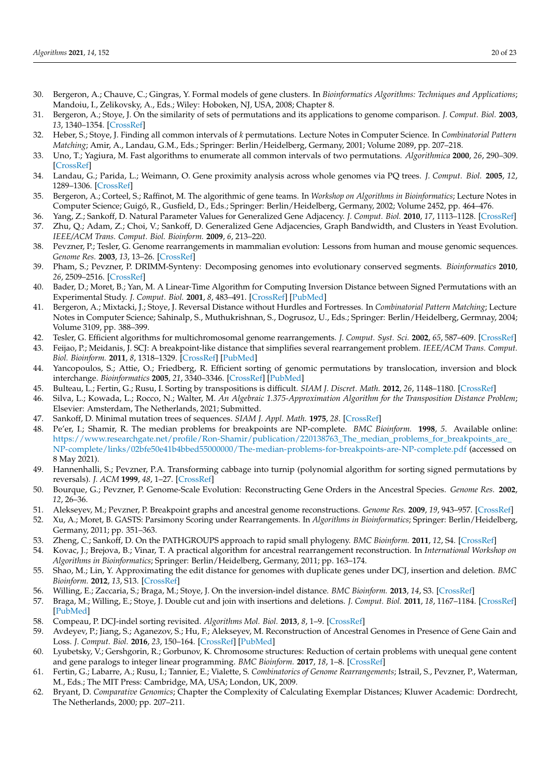- <span id="page-19-0"></span>30. Bergeron, A.; Chauve, C.; Gingras, Y. Formal models of gene clusters. In *Bioinformatics Algorithms: Techniques and Applications*; Mandoiu, I., Zelikovsky, A., Eds.; Wiley: Hoboken, NJ, USA, 2008; Chapter 8.
- <span id="page-19-1"></span>31. Bergeron, A.; Stoye, J. On the similarity of sets of permutations and its applications to genome comparison. *J. Comput. Biol.* **2003**, *13*, 1340–1354. [\[CrossRef\]](http://dx.doi.org/10.1089/cmb.2006.13.1340)
- 32. Heber, S.; Stoye, J. Finding all common intervals of *k* permutations. Lecture Notes in Computer Science. In *Combinatorial Pattern Matching*; Amir, A., Landau, G.M., Eds.; Springer: Berlin/Heidelberg, Germany, 2001; Volume 2089, pp. 207–218.
- <span id="page-19-2"></span>33. Uno, T.; Yagiura, M. Fast algorithms to enumerate all common intervals of two permutations. *Algorithmica* **2000**, *26*, 290–309. [\[CrossRef\]](http://dx.doi.org/10.1007/s004539910014)
- <span id="page-19-3"></span>34. Landau, G.; Parida, L.; Weimann, O. Gene proximity analysis across whole genomes via PQ trees. *J. Comput. Biol.* **2005**, *12*, 1289–1306. [\[CrossRef\]](http://dx.doi.org/10.1089/cmb.2005.12.1289)
- <span id="page-19-4"></span>35. Bergeron, A.; Corteel, S.; Raffinot, M. The algorithmic of gene teams. In *Workshop on Algorithms in Bioinformatics*; Lecture Notes in Computer Science; Guigó, R., Gusfield, D., Eds.; Springer: Berlin/Heidelberg, Germany, 2002; Volume 2452, pp. 464–476.
- <span id="page-19-6"></span><span id="page-19-5"></span>36. Yang, Z.; Sankoff, D. Natural Parameter Values for Generalized Gene Adjacency. *J. Comput. Biol.* **2010**, *17*, 1113–1128. [\[CrossRef\]](http://dx.doi.org/10.1089/cmb.2010.0099) 37. Zhu, Q.; Adam, Z.; Choi, V.; Sankoff, D. Generalized Gene Adjacencies, Graph Bandwidth, and Clusters in Yeast Evolution. *IEEE/ACM Trans. Comput. Biol. Bioinform.* **2009**, *6*, 213–220.
- <span id="page-19-7"></span>38. Pevzner, P.; Tesler, G. Genome rearrangements in mammalian evolution: Lessons from human and mouse genomic sequences. *Genome Res.* **2003**, *13*, 13–26. [\[CrossRef\]](http://dx.doi.org/10.1101/gr.757503)
- <span id="page-19-8"></span>39. Pham, S.; Pevzner, P. DRIMM-Synteny: Decomposing genomes into evolutionary conserved segments. *Bioinformatics* **2010**, *26*, 2509–2516. [\[CrossRef\]](http://dx.doi.org/10.1093/bioinformatics/btq465)
- <span id="page-19-9"></span>40. Bader, D.; Moret, B.; Yan, M. A Linear-Time Algorithm for Computing Inversion Distance between Signed Permutations with an Experimental Study. *J. Comput. Biol.* **2001**, *8*, 483–491. [\[CrossRef\]](http://dx.doi.org/10.1089/106652701753216503) [\[PubMed\]](http://www.ncbi.nlm.nih.gov/pubmed/11694179)
- 41. Bergeron, A.; Mixtacki, J.; Stoye, J. Reversal Distance without Hurdles and Fortresses. In *Combinatorial Pattern Matching*; Lecture Notes in Computer Science; Sahinalp, S., Muthukrishnan, S., Dogrusoz, U., Eds.; Springer: Berlin/Heidelberg, Germnay, 2004; Volume 3109, pp. 388–399.
- <span id="page-19-10"></span>42. Tesler, G. Efficient algorithms for multichromosomal genome rearrangements. *J. Comput. Syst. Sci.* **2002**, *65*, 587–609. [\[CrossRef\]](http://dx.doi.org/10.1016/S0022-0000(02)00011-9)
- <span id="page-19-11"></span>43. Feijao, P.; Meidanis, J. SCJ: A breakpoint-like distance that simplifies several rearrangement problem. *IEEE/ACM Trans. Comput. Biol. Bioinform.* **2011**, *8*, 1318–1329. [\[CrossRef\]](http://dx.doi.org/10.1109/TCBB.2011.34) [\[PubMed\]](http://www.ncbi.nlm.nih.gov/pubmed/21339538)
- <span id="page-19-12"></span>44. Yancopoulos, S.; Attie, O.; Friedberg, R. Efficient sorting of genomic permutations by translocation, inversion and block interchange. *Bioinformatics* **2005**, *21*, 3340–3346. [\[CrossRef\]](http://dx.doi.org/10.1093/bioinformatics/bti535) [\[PubMed\]](http://www.ncbi.nlm.nih.gov/pubmed/15951307)
- <span id="page-19-13"></span>45. Bulteau, L.; Fertin, G.; Rusu, I. Sorting by transpositions is difficult. *SIAM J. Discret. Math.* **2012**, *26*, 1148–1180. [\[CrossRef\]](http://dx.doi.org/10.1137/110851390)
- <span id="page-19-14"></span>46. Silva, L.; Kowada, L.; Rocco, N.; Walter, M. *An Algebraic 1.375-Approximation Algorithm for the Transposition Distance Problem*; Elsevier: Amsterdam, The Netherlands, 2021; Submitted.
- <span id="page-19-15"></span>47. Sankoff, D. Minimal mutation trees of sequences. *SIAM J. Appl. Math.* **1975**, *28*. [\[CrossRef\]](http://dx.doi.org/10.1137/0128004)
- <span id="page-19-16"></span>48. Pe'er, I.; Shamir, R. The median problems for breakpoints are NP-complete. *BMC Bioinform.* **1998**, *5*. Available online: [https://www.researchgate.net/profile/Ron-Shamir/publication/220138763\\_The\\_median\\_problems\\_for\\_breakpoints\\_are\\_](https://www.researchgate.net/profile/Ron-Shamir/publication/220138763_The_median_problems_for_breakpoints_are_NP-complete/links/02bfe50e41b4bbed55000000/The-median-problems-for-breakpoints-are-NP-complete.pdf) [NP-complete/links/02bfe50e41b4bbed55000000/The-median-problems-for-breakpoints-are-NP-complete.pdf](https://www.researchgate.net/profile/Ron-Shamir/publication/220138763_The_median_problems_for_breakpoints_are_NP-complete/links/02bfe50e41b4bbed55000000/The-median-problems-for-breakpoints-are-NP-complete.pdf) (accessed on 8 May 2021).
- <span id="page-19-17"></span>49. Hannenhalli, S.; Pevzner, P.A. Transforming cabbage into turnip (polynomial algorithm for sorting signed permutations by reversals). *J. ACM* **1999**, *48*, 1–27. [\[CrossRef\]](http://dx.doi.org/10.1145/300515.300516)
- <span id="page-19-18"></span>50. Bourque, G.; Pevzner, P. Genome-Scale Evolution: Reconstructing Gene Orders in the Ancestral Species. *Genome Res.* **2002**, *12*, 26–36.
- <span id="page-19-19"></span>51. Alekseyev, M.; Pevzner, P. Breakpoint graphs and ancestral genome reconstructions. *Genome Res.* **2009**, *19*, 943–957. [\[CrossRef\]](http://dx.doi.org/10.1101/gr.082784.108)
- <span id="page-19-20"></span>52. Xu, A.; Moret, B. GASTS: Parsimony Scoring under Rearrangements. In *Algorithms in Bioinformatics*; Springer: Berlin/Heidelberg, Germany, 2011; pp. 351–363.
- <span id="page-19-21"></span>53. Zheng, C.; Sankoff, D. On the PATHGROUPS approach to rapid small phylogeny. *BMC Bioinform.* **2011**, *12*, S4. [\[CrossRef\]](http://dx.doi.org/10.1186/1471-2105-12-S1-S4)
- <span id="page-19-22"></span>54. Kovac, J.; Brejova, B.; Vinar, T. A practical algorithm for ancestral rearrangement reconstruction. In *International Workshop on Algorithms in Bioinformatics*; Springer: Berlin/Heidelberg, Germany, 2011; pp. 163–174.
- <span id="page-19-23"></span>55. Shao, M.; Lin, Y. Approximating the edit distance for genomes with duplicate genes under DCJ, insertion and deletion. *BMC Bioinform.* **2012**, *13*, S13. [\[CrossRef\]](http://dx.doi.org/10.1186/1471-2105-13-S19-S13)
- <span id="page-19-24"></span>56. Willing, E.; Zaccaria, S.; Braga, M.; Stoye, J. On the inversion-indel distance. *BMC Bioinform.* **2013**, *14*, S3. [\[CrossRef\]](http://dx.doi.org/10.1186/1471-2105-14-S15-S3)
- <span id="page-19-25"></span>57. Braga, M.; Willing, E.; Stoye, J. Double cut and join with insertions and deletions. *J. Comput. Biol.* **2011**, *18*, 1167–1184. [\[CrossRef\]](http://dx.doi.org/10.1089/cmb.2011.0118) [\[PubMed\]](http://www.ncbi.nlm.nih.gov/pubmed/21899423)
- <span id="page-19-26"></span>58. Compeau, P. DCJ-indel sorting revisited. *Algorithms Mol. Biol.* **2013**, *8*, 1–9. [\[CrossRef\]](http://dx.doi.org/10.1186/1748-7188-8-6)
- <span id="page-19-27"></span>59. Avdeyev, P.; Jiang, S.; Aganezov, S.; Hu, F.; Alekseyev, M. Reconstruction of Ancestral Genomes in Presence of Gene Gain and Loss. *J. Comput. Biol.* **2016**, *23*, 150–164. [\[CrossRef\]](http://dx.doi.org/10.1089/cmb.2015.0160) [\[PubMed\]](http://www.ncbi.nlm.nih.gov/pubmed/26885568)
- <span id="page-19-28"></span>60. Lyubetsky, V.; Gershgorin, R.; Gorbunov, K. Chromosome structures: Reduction of certain problems with unequal gene content and gene paralogs to integer linear programming. *BMC Bioinform.* **2017**, *18*, 1–8. [\[CrossRef\]](http://dx.doi.org/10.1186/s12859-017-1944-x)
- <span id="page-19-29"></span>61. Fertin, G.; Labarre, A.; Rusu, I.; Tannier, E.; Vialette, S. *Combinatorics of Genome Rearrangements*; Istrail, S., Pevzner, P., Waterman, M., Eds.; The MIT Press: Cambridge, MA, USA; London, UK, 2009.
- <span id="page-19-30"></span>62. Bryant, D. *Comparative Genomics*; Chapter the Complexity of Calculating Exemplar Distances; Kluwer Academic: Dordrecht, The Netherlands, 2000; pp. 207–211.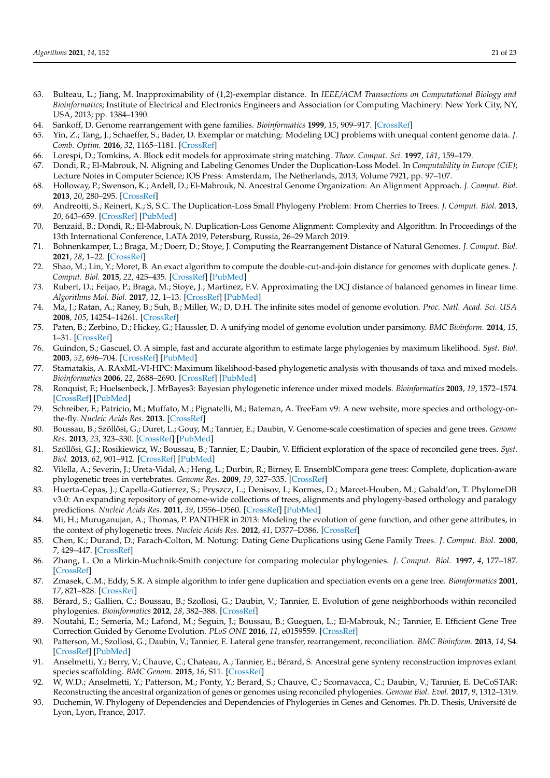- 63. Bulteau, L.; Jiang, M. Inapproximability of (1,2)-exemplar distance. In *IEEE/ACM Transactions on Computational Biology and Bioinformatics*; Institute of Electrical and Electronics Engineers and Association for Computing Machinery: New York City, NY, USA, 2013; pp. 1384–1390.
- 64. Sankoff, D. Genome rearrangement with gene families. *Bioinformatics* **1999**, *15*, 909–917. [\[CrossRef\]](http://dx.doi.org/10.1093/bioinformatics/15.11.909)
- <span id="page-20-0"></span>65. Yin, Z.; Tang, J.; Schaeffer, S.; Bader, D. Exemplar or matching: Modeling DCJ problems with unequal content genome data. *J. Comb. Optim.* **2016**, *32*, 1165–1181. [\[CrossRef\]](http://dx.doi.org/10.1007/s10878-015-9940-4)
- <span id="page-20-1"></span>66. Lorespi, D.; Tomkins, A. Block edit models for approximate string matching. *Theor. Comput. Sci.* **1997**, *181*, 159–179.
- <span id="page-20-2"></span>67. Dondi, R.; El-Mabrouk, N. Aligning and Labeling Genomes Under the Duplication-Loss Model. In *Computability in Europe (CiE)*; Lecture Notes in Computer Science; IOS Press: Amsterdam, The Netherlands, 2013; Volume 7921, pp. 97–107.
- <span id="page-20-3"></span>68. Holloway, P.; Swenson, K.; Ardell, D.; El-Mabrouk, N. Ancestral Genome Organization: An Alignment Approach. *J. Comput. Biol.* **2013**, *20*, 280–295. [\[CrossRef\]](http://dx.doi.org/10.1089/cmb.2012.0292)
- <span id="page-20-4"></span>69. Andreotti, S.; Reinert, K.; S, S.C. The Duplication-Loss Small Phylogeny Problem: From Cherries to Trees. *J. Comput. Biol.* **2013**, *20*, 643–659. [\[CrossRef\]](http://dx.doi.org/10.1089/cmb.2013.0057) [\[PubMed\]](http://www.ncbi.nlm.nih.gov/pubmed/24000925)
- <span id="page-20-5"></span>70. Benzaid, B.; Dondi, R.; El-Mabrouk, N. Duplication-Loss Genome Alignment: Complexity and Algorithm. In Proceedings of the 13th International Conference, LATA 2019, Petersburg, Russia, 26–29 March 2019.
- <span id="page-20-6"></span>71. Bohnenkamper, L.; Braga, M.; Doerr, D.; Stoye, J. Computing the Rearrangement Distance of Natural Genomes. *J. Comput. Biol.* **2021**, *28*, 1–22. [\[CrossRef\]](http://dx.doi.org/10.1089/cmb.2020.0434)
- <span id="page-20-7"></span>72. Shao, M.; Lin, Y.; Moret, B. An exact algorithm to compute the double-cut-and-join distance for genomes with duplicate genes. *J. Comput. Biol.* **2015**, *22*, 425–435. [\[CrossRef\]](http://dx.doi.org/10.1089/cmb.2014.0096) [\[PubMed\]](http://www.ncbi.nlm.nih.gov/pubmed/25517208)
- <span id="page-20-8"></span>73. Rubert, D.; Feijao, P.; Braga, M.; Stoye, J.; Martinez, F.V. Approximating the DCJ distance of balanced genomes in linear time. *Algorithms Mol. Biol.* **2017**, *12*, 1–13. [\[CrossRef\]](http://dx.doi.org/10.1186/s13015-017-0095-y) [\[PubMed\]](http://www.ncbi.nlm.nih.gov/pubmed/28293275)
- <span id="page-20-9"></span>74. Ma, J.; Ratan, A.; Raney, B.; Suh, B.; Miller, W.; D, D.H. The infinite sites model of genome evolution. *Proc. Natl. Acad. Sci. USA* **2008**, *105*, 14254–14261. [\[CrossRef\]](http://dx.doi.org/10.1073/pnas.0805217105)
- <span id="page-20-10"></span>75. Paten, B.; Zerbino, D.; Hickey, G.; Haussler, D. A unifying model of genome evolution under parsimony. *BMC Bioinform.* **2014**, *15*, 1–31. [\[CrossRef\]](http://dx.doi.org/10.1186/1471-2105-15-206)
- <span id="page-20-11"></span>76. Guindon, S.; Gascuel, O. A simple, fast and accurate algorithm to estimate large phylogenies by maximum likelihood. *Syst. Biol.* **2003**, *52*, 696–704. [\[CrossRef\]](http://dx.doi.org/10.1080/10635150390235520) [\[PubMed\]](http://www.ncbi.nlm.nih.gov/pubmed/14530136)
- <span id="page-20-12"></span>77. Stamatakis, A. RAxML-VI-HPC: Maximum likelihood-based phylogenetic analysis with thousands of taxa and mixed models. *Bioinformatics* **2006**, *22*, 2688–2690. [\[CrossRef\]](http://dx.doi.org/10.1093/bioinformatics/btl446) [\[PubMed\]](http://www.ncbi.nlm.nih.gov/pubmed/16928733)
- <span id="page-20-13"></span>78. Ronquist, F.; Huelsenbeck, J. MrBayes3: Bayesian phylogenetic inference under mixed models. *Bioinformatics* **2003**, *19*, 1572–1574. [\[CrossRef\]](http://dx.doi.org/10.1093/bioinformatics/btg180) [\[PubMed\]](http://www.ncbi.nlm.nih.gov/pubmed/12912839)
- <span id="page-20-14"></span>79. Schreiber, F.; Patricio, M.; Muffato, M.; Pignatelli, M.; Bateman, A. TreeFam v9: A new website, more species and orthology-onthe-fly. *Nucleic Acids Res.* **2013**. [\[CrossRef\]](http://dx.doi.org/10.1093/nar/gkt1055)
- <span id="page-20-15"></span>80. Boussau, B.; Szöllősi, G.; Duret, L.; Gouy, M.; Tannier, E.; Daubin, V. Genome-scale coestimation of species and gene trees. *Genome Res.* **2013**, *23*, 323–330. [\[CrossRef\]](http://dx.doi.org/10.1101/gr.141978.112) [\[PubMed\]](http://www.ncbi.nlm.nih.gov/pubmed/23132911)
- <span id="page-20-16"></span>81. Szöllősi, G.J.; Rosikiewicz, W.; Boussau, B.; Tannier, E.; Daubin, V. Efficient exploration of the space of reconciled gene trees. Sust. *Biol.* **2013**, *62*, 901–912. [\[CrossRef\]](http://dx.doi.org/10.1093/sysbio/syt054) [\[PubMed\]](http://www.ncbi.nlm.nih.gov/pubmed/23925510)
- <span id="page-20-17"></span>82. Vilella, A.; Severin, J.; Ureta-Vidal, A.; Heng, L.; Durbin, R.; Birney, E. EnsemblCompara gene trees: Complete, duplication-aware phylogenetic trees in vertebrates. *Genome Res.* **2009**, *19*, 327–335. [\[CrossRef\]](http://dx.doi.org/10.1101/gr.073585.107)
- <span id="page-20-18"></span>83. Huerta-Cepas, J.; Capella-Gutierrez, S.; Pryszcz, L.; Denisov, I.; Kormes, D.; Marcet-Houben, M.; Gabald'on, T. PhylomeDB v3.0: An expanding repository of genome-wide collections of trees, alignments and phylogeny-based orthology and paralogy predictions. *Nucleic Acids Res.* **2011**, *39*, D556–D560. [\[CrossRef\]](http://dx.doi.org/10.1093/nar/gkq1109) [\[PubMed\]](http://www.ncbi.nlm.nih.gov/pubmed/21075798)
- <span id="page-20-19"></span>84. Mi, H.; Muruganujan, A.; Thomas, P. PANTHER in 2013: Modeling the evolution of gene function, and other gene attributes, in the context of phylogenetic trees. *Nucleic Acids Res.* **2012**, *41*, D377–D386. [\[CrossRef\]](http://dx.doi.org/10.1093/nar/gks1118)
- <span id="page-20-20"></span>85. Chen, K.; Durand, D.; Farach-Colton, M. Notung: Dating Gene Duplications using Gene Family Trees. *J. Comput. Biol.* **2000**, *7*, 429–447. [\[CrossRef\]](http://dx.doi.org/10.1089/106652700750050871)
- 86. Zhang, L. On a Mirkin-Muchnik-Smith conjecture for comparing molecular phylogenies. *J. Comput. Biol.* **1997**, *4*, 177–187. [\[CrossRef\]](http://dx.doi.org/10.1089/cmb.1997.4.177)
- <span id="page-20-21"></span>87. Zmasek, C.M.; Eddy, S.R. A simple algorithm to infer gene duplication and speciiation events on a gene tree. *Bioinformatics* **2001**, *17*, 821–828. [\[CrossRef\]](http://dx.doi.org/10.1093/bioinformatics/17.9.821)
- <span id="page-20-22"></span>88. Bérard, S.; Gallien, C.; Boussau, B.; Szollosi, G.; Daubin, V.; Tannier, E. Evolution of gene neighborhoods within reconciled phylogenies. *Bioinformatics* **2012**, *28*, 382–388. [\[CrossRef\]](http://dx.doi.org/10.1093/bioinformatics/bts374)
- <span id="page-20-23"></span>89. Noutahi, E.; Semeria, M.; Lafond, M.; Seguin, J.; Boussau, B.; Gueguen, L.; El-Mabrouk, N.; Tannier, E. Efficient Gene Tree Correction Guided by Genome Evolution. *PLoS ONE* **2016**, *11*, e0159559. [\[CrossRef\]](http://dx.doi.org/10.1371/journal.pone.0159559)
- <span id="page-20-24"></span>90. Patterson, M.; Szollosi, G.; Daubin, V.; Tannier, E. Lateral gene transfer, rearrangement, reconciliation. *BMC Bioinform.* **2013**, *14*, S4. [\[CrossRef\]](http://dx.doi.org/10.1186/1471-2105-14-S15-S4) [\[PubMed\]](http://www.ncbi.nlm.nih.gov/pubmed/24564205)
- <span id="page-20-25"></span>91. Anselmetti, Y.; Berry, V.; Chauve, C.; Chateau, A.; Tannier, E.; Bérard, S. Ancestral gene synteny reconstruction improves extant species scaffolding. *BMC Genom.* **2015**, *16*, S11. [\[CrossRef\]](http://dx.doi.org/10.1186/1471-2164-16-S10-S11)
- <span id="page-20-26"></span>92. W, W.D.; Anselmetti, Y.; Patterson, M.; Ponty, Y.; Berard, S.; Chauve, C.; Scornavacca, C.; Daubin, V.; Tannier, E. DeCoSTAR: Reconstructing the ancestral organization of genes or genomes using reconciled phylogenies. *Genome Biol. Evol.* **2017**, *9*, 1312–1319.
- <span id="page-20-27"></span>93. Duchemin, W. Phylogeny of Dependencies and Dependencies of Phylogenies in Genes and Genomes. Ph.D. Thesis, Université de Lyon, Lyon, France, 2017.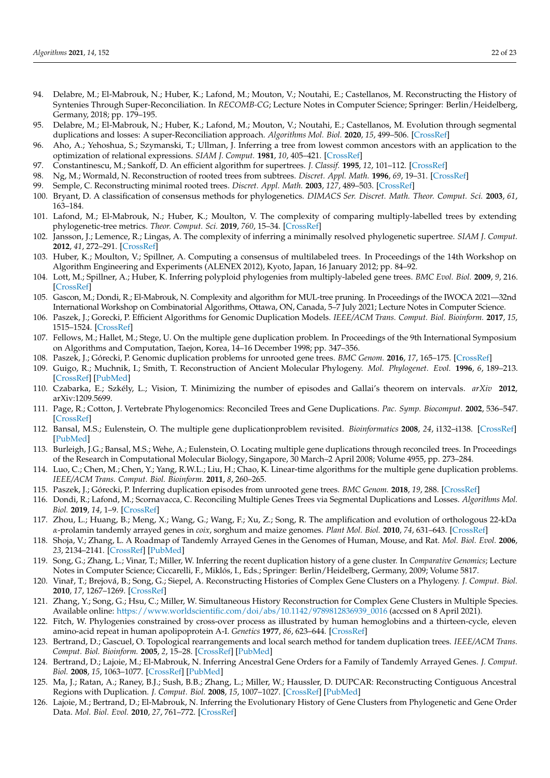- <span id="page-21-0"></span>94. Delabre, M.; El-Mabrouk, N.; Huber, K.; Lafond, M.; Mouton, V.; Noutahi, E.; Castellanos, M. Reconstructing the History of Syntenies Through Super-Reconciliation. In *RECOMB-CG*; Lecture Notes in Computer Science; Springer: Berlin/Heidelberg, Germany, 2018; pp. 179–195.
- <span id="page-21-1"></span>95. Delabre, M.; El-Mabrouk, N.; Huber, K.; Lafond, M.; Mouton, V.; Noutahi, E.; Castellanos, M. Evolution through segmental duplications and losses: A super-Reconciliation approach. *Algorithms Mol. Biol.* **2020**, *15*, 499–506. [\[CrossRef\]](http://dx.doi.org/10.1186/s13015-020-00171-4)
- <span id="page-21-2"></span>96. Aho, A.; Yehoshua, S.; Szymanski, T.; Ullman, J. Inferring a tree from lowest common ancestors with an application to the optimization of relational expressions. *SIAM J. Comput.* **1981**, *10*, 405–421. [\[CrossRef\]](http://dx.doi.org/10.1137/0210030)
- <span id="page-21-3"></span>97. Constantinescu, M.; Sankoff, D. An efficient algorithm for supertrees. *J. Classif.* **1995**, *12*, 101–112. [\[CrossRef\]](http://dx.doi.org/10.1007/BF01202270)
- 98. Ng, M.; Wormald, N. Reconstruction of rooted trees from subtrees. *Discret. Appl. Math.* **1996**, *69*, 19–31. [\[CrossRef\]](http://dx.doi.org/10.1016/0166-218X(95)00074-2)
- <span id="page-21-4"></span>99. Semple, C. Reconstructing minimal rooted trees. *Discret. Appl. Math.* **2003**, *127*, 489–503. [\[CrossRef\]](http://dx.doi.org/10.1016/S0166-218X(02)00250-0)
- <span id="page-21-5"></span>100. Bryant, D. A classification of consensus methods for phylogenetics. *DIMACS Ser. Discret. Math. Theor. Comput. Sci.* **2003**, *61*, 163–184.
- <span id="page-21-6"></span>101. Lafond, M.; El-Mabrouk, N.; Huber, K.; Moulton, V. The complexity of comparing multiply-labelled trees by extending phylogenetic-tree metrics. *Theor. Comput. Sci.* **2019**, *760*, 15–34. [\[CrossRef\]](http://dx.doi.org/10.1016/j.tcs.2018.08.006)
- <span id="page-21-7"></span>102. Jansson, J.; Lemence, R.; Lingas, A. The complexity of inferring a minimally resolved phylogenetic supertree. *SIAM J. Comput.* **2012**, *41*, 272–291. [\[CrossRef\]](http://dx.doi.org/10.1137/100811489)
- 103. Huber, K.; Moulton, V.; Spillner, A. Computing a consensus of multilabeled trees. In Proceedings of the 14th Workshop on Algorithm Engineering and Experiments (ALENEX 2012), Kyoto, Japan, 16 January 2012; pp. 84–92.
- <span id="page-21-8"></span>104. Lott, M.; Spillner, A.; Huber, K. Inferring polyploid phylogenies from multiply-labeled gene trees. *BMC Evol. Biol.* **2009**, *9*, 216. [\[CrossRef\]](http://dx.doi.org/10.1186/1471-2148-9-216)
- <span id="page-21-9"></span>105. Gascon, M.; Dondi, R.; El-Mabrouk, N. Complexity and algorithm for MUL-tree pruning. In Proceedings of the IWOCA 2021—32nd International Workshop on Combinatorial Algorithms, Ottawa, ON, Canada, 5–7 July 2021; Lecture Notes in Computer Science.
- <span id="page-21-10"></span>106. Paszek, J.; Gorecki, P. Efficient Algorithms for Genomic Duplication Models. *IEEE/ACM Trans. Comput. Biol. Bioinform.* **2017**, *15*, 1515–1524. [\[CrossRef\]](http://dx.doi.org/10.1109/TCBB.2017.2706679)
- <span id="page-21-11"></span>107. Fellows, M.; Hallet, M.; Stege, U. On the multiple gene duplication problem. In Proceedings of the 9th International Symposium on Algorithms and Computation, Taejon, Korea, 14–16 December 1998; pp. 347–356.
- <span id="page-21-12"></span>108. Paszek, J.; Górecki, P. Genomic duplication problems for unrooted gene trees. *BMC Genom.* **2016**, *17*, 165–175. [\[CrossRef\]](http://dx.doi.org/10.1186/s12864-015-2308-4)
- <span id="page-21-13"></span>109. Guigo, R.; Muchnik, I.; Smith, T. Reconstruction of Ancient Molecular Phylogeny. *Mol. Phylogenet. Evol.* **1996**, *6*, 189–213. [\[CrossRef\]](http://dx.doi.org/10.1006/mpev.1996.0071) [\[PubMed\]](http://www.ncbi.nlm.nih.gov/pubmed/8899723)
- <span id="page-21-14"></span>110. Czabarka, E.; Szkély, L.; Vision, T. Minimizing the number of episodes and Gallai's theorem on intervals. *arXiv* **2012**, arXiv:1209.5699.
- <span id="page-21-15"></span>111. Page, R.; Cotton, J. Vertebrate Phylogenomics: Reconciled Trees and Gene Duplications. *Pac. Symp. Biocomput.* **2002**, 536–547. [\[CrossRef\]](http://dx.doi.org/10.1142/9789812799623_0050)
- <span id="page-21-16"></span>112. Bansal, M.S.; Eulenstein, O. The multiple gene duplicationproblem revisited. *Bioinformatics* **2008**, *24*, i132–i138. [\[CrossRef\]](http://dx.doi.org/10.1093/bioinformatics/btn150) [\[PubMed\]](http://www.ncbi.nlm.nih.gov/pubmed/18586705)
- <span id="page-21-17"></span>113. Burleigh, J.G.; Bansal, M.S.; Wehe, A.; Eulenstein, O. Locating multiple gene duplications through reconciled trees. In Proceedings of the Research in Computational Molecular Biology, Singapore, 30 March–2 April 2008; Volume 4955, pp. 273–284.
- <span id="page-21-18"></span>114. Luo, C.; Chen, M.; Chen, Y.; Yang, R.W.L.; Liu, H.; Chao, K. Linear-time algorithms for the multiple gene duplication problems. *IEEE/ACM Trans. Comput. Biol. Bioinform.* **2011**, *8*, 260–265.
- <span id="page-21-19"></span>115. Paszek, J.; Górecki, P. Inferring duplication episodes from unrooted gene trees. *BMC Genom.* **2018**, *19*, 288. [\[CrossRef\]](http://dx.doi.org/10.1186/s12864-018-4623-z)
- <span id="page-21-20"></span>116. Dondi, R.; Lafond, M.; Scornavacca, C. Reconciling Multiple Genes Trees via Segmental Duplications and Losses. *Algorithms Mol. Biol.* **2019**, *14*, 1–9. [\[CrossRef\]](http://dx.doi.org/10.1186/s13015-019-0139-6)
- <span id="page-21-21"></span>117. Zhou, L.; Huang, B.; Meng, X.; Wang, G.; Wang, F.; Xu, Z.; Song, R. The amplification and evolution of orthologous 22-kDa *α*-prolamin tandemly arrayed genes in *coix*, sorghum and maize genomes. *Plant Mol. Biol.* **2010**, *74*, 631–643. [\[CrossRef\]](http://dx.doi.org/10.1007/s11103-010-9705-5)
- <span id="page-21-22"></span>118. Shoja, V.; Zhang, L. A Roadmap of Tandemly Arrayed Genes in the Genomes of Human, Mouse, and Rat. *Mol. Biol. Evol.* **2006**, *23*, 2134–2141. [\[CrossRef\]](http://dx.doi.org/10.1093/molbev/msl085) [\[PubMed\]](http://www.ncbi.nlm.nih.gov/pubmed/16901985)
- <span id="page-21-23"></span>119. Song, G.; Zhang, L.; Vinar, T.; Miller, W. Inferring the recent duplication history of a gene cluster. In *Comparative Genomics*; Lecture Notes in Computer Science; Ciccarelli, F., Miklós, I., Eds.; Springer: Berlin/Heidelberg, Germany, 2009; Volume 5817.
- 120. Vinaˇr, T.; Brejová, B.; Song, G.; Siepel, A. Reconstructing Histories of Complex Gene Clusters on a Phylogeny. *J. Comput. Biol.* **2010**, *17*, 1267–1269. [\[CrossRef\]](http://dx.doi.org/10.1089/cmb.2010.0090)
- <span id="page-21-24"></span>121. Zhang, Y.; Song, G.; Hsu, C.; Miller, W. Simultaneous History Reconstruction for Complex Gene Clusters in Multiple Species. Available online: [https://www.worldscientific.com/doi/abs/10.1142/9789812836939\\_0016](https://www.worldscientific.com/doi/abs/10.1142/9789812836939_0016) (accssed on 8 April 2021).
- <span id="page-21-25"></span>122. Fitch, W. Phylogenies constrained by cross-over process as illustrated by human hemoglobins and a thirteen-cycle, eleven amino-acid repeat in human apolipoprotein A-I. *Genetics* **1977**, *86*, 623–644. [\[CrossRef\]](http://dx.doi.org/10.1093/genetics/86.3.623)
- <span id="page-21-26"></span>123. Bertrand, D.; Gascuel, O. Topological rearrangements and local search method for tandem duplication trees. *IEEE/ACM Trans. Comput. Biol. Bioinform.* **2005**, *2*, 15–28. [\[CrossRef\]](http://dx.doi.org/10.1109/TCBB.2005.15) [\[PubMed\]](http://www.ncbi.nlm.nih.gov/pubmed/17044161)
- <span id="page-21-27"></span>124. Bertrand, D.; Lajoie, M.; El-Mabrouk, N. Inferring Ancestral Gene Orders for a Family of Tandemly Arrayed Genes. *J. Comput. Biol.* **2008**, *15*, 1063–1077. [\[CrossRef\]](http://dx.doi.org/10.1089/cmb.2008.0025) [\[PubMed\]](http://www.ncbi.nlm.nih.gov/pubmed/18781832)
- <span id="page-21-28"></span>125. Ma, J.; Ratan, A.; Raney, B.J.; Sush, B.B.; Zhang, L.; Miller, W.; Haussler, D. DUPCAR: Reconstructing Contiguous Ancestral Regions with Duplication. *J. Comput. Biol.* **2008**, *15*, 1007–1027. [\[CrossRef\]](http://dx.doi.org/10.1089/cmb.2008.0069) [\[PubMed\]](http://www.ncbi.nlm.nih.gov/pubmed/18774902)
- <span id="page-21-29"></span>126. Lajoie, M.; Bertrand, D.; El-Mabrouk, N. Inferring the Evolutionary History of Gene Clusters from Phylogenetic and Gene Order Data. *Mol. Biol. Evol.* **2010**, *27*, 761–772. [\[CrossRef\]](http://dx.doi.org/10.1093/molbev/msp271)